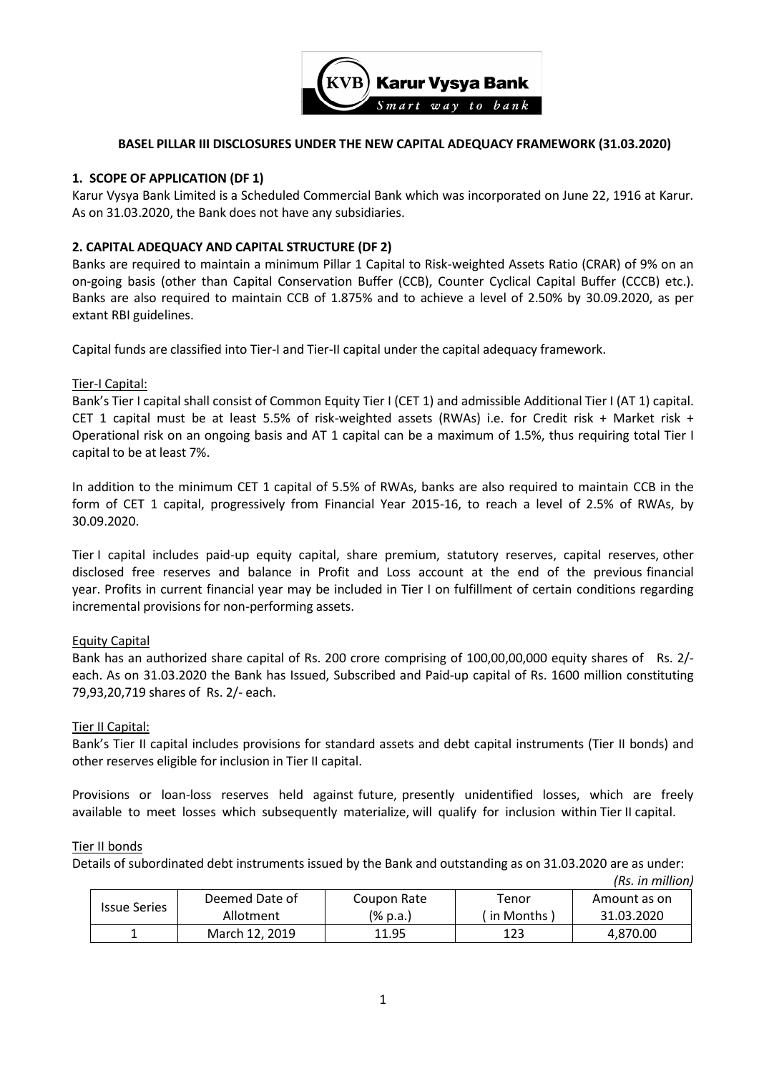

### **BASEL PILLAR III DISCLOSURES UNDER THE NEW CAPITAL ADEQUACY FRAMEWORK (31.03.2020)**

### **1. SCOPE OF APPLICATION (DF 1)**

Karur Vysya Bank Limited is a Scheduled Commercial Bank which was incorporated on June 22, 1916 at Karur. As on 31.03.2020, the Bank does not have any subsidiaries.

### **2. CAPITAL ADEQUACY AND CAPITAL STRUCTURE (DF 2)**

Banks are required to maintain a minimum Pillar 1 Capital to Risk-weighted Assets Ratio (CRAR) of 9% on an on-going basis (other than Capital Conservation Buffer (CCB), Counter Cyclical Capital Buffer (CCCB) etc.). Banks are also required to maintain CCB of 1.875% and to achieve a level of 2.50% by 30.09.2020, as per extant RBI guidelines.

Capital funds are classified into Tier-I and Tier-II capital under the capital adequacy framework.

### Tier-I Capital:

Bank's Tier I capital shall consist of Common Equity Tier I (CET 1) and admissible Additional Tier I (AT 1) capital. CET 1 capital must be at least 5.5% of risk-weighted assets (RWAs) i.e. for Credit risk + Market risk + Operational risk on an ongoing basis and AT 1 capital can be a maximum of 1.5%, thus requiring total Tier I capital to be at least 7%.

In addition to the minimum CET 1 capital of 5.5% of RWAs, banks are also required to maintain CCB in the form of CET 1 capital, progressively from Financial Year 2015-16, to reach a level of 2.5% of RWAs, by 30.09.2020.

Tier I capital includes paid-up equity capital, share premium, statutory reserves, capital reserves, other disclosed free reserves and balance in Profit and Loss account at the end of the previous financial year. Profits in current financial year may be included in Tier I on fulfillment of certain conditions regarding incremental provisions for non-performing assets.

### Equity Capital

Bank has an authorized share capital of Rs. 200 crore comprising of 100,00,00,000 equity shares of Rs. 2/ each. As on 31.03.2020 the Bank has Issued, Subscribed and Paid-up capital of Rs. 1600 million constituting 79,93,20,719 shares of Rs. 2/- each.

### Tier II Capital:

Bank's Tier II capital includes provisions for standard assets and debt capital instruments (Tier II bonds) and other reserves eligible for inclusion in Tier II capital.

Provisions or loan-loss reserves held against future, presently unidentified losses, which are freely available to meet losses which subsequently materialize, will qualify for inclusion within Tier II capital.

### Tier II bonds

Details of subordinated debt instruments issued by the Bank and outstanding as on 31.03.2020 are as under:

| <b>Issue Series</b> | Deemed Date of | Coupon Rate | Tenor       | Amount as on |
|---------------------|----------------|-------------|-------------|--------------|
|                     | Allotment      | (% p.a.)    | l in Months | 31.03.2020   |
|                     | March 12, 2019 | 11.95       | 123         | 4.870.00     |

*(Rs. in million)*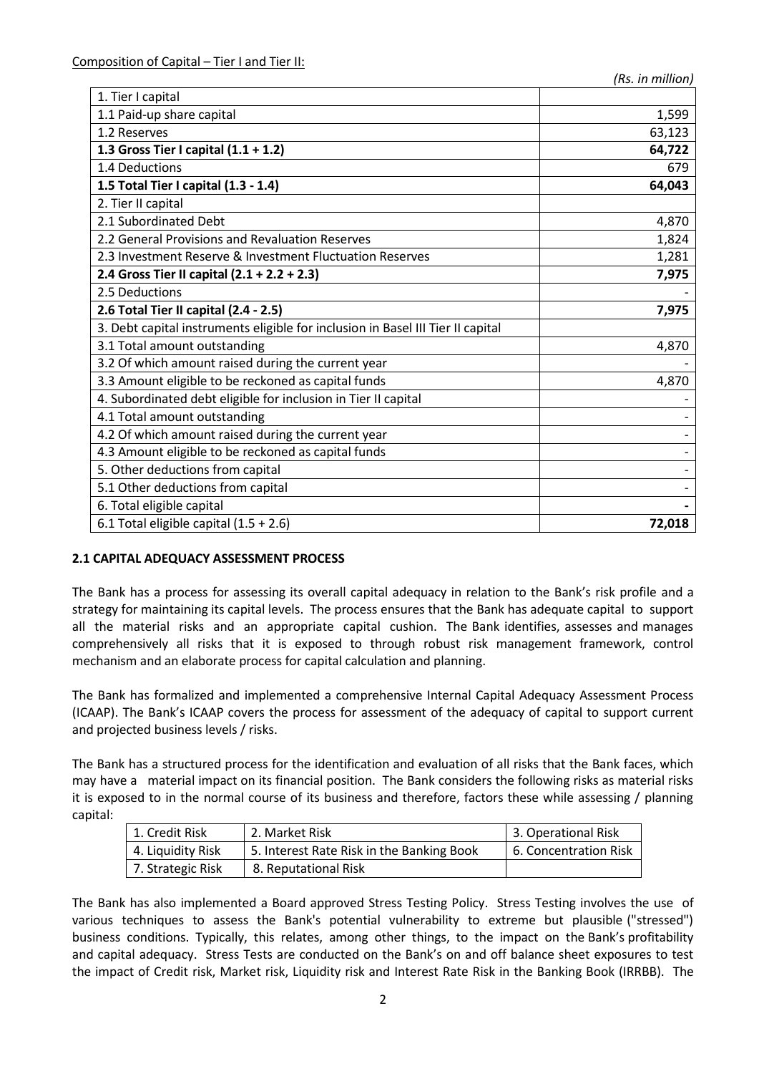| 1. Tier I capital                                                               |        |
|---------------------------------------------------------------------------------|--------|
| 1.1 Paid-up share capital                                                       | 1,599  |
| 1.2 Reserves                                                                    | 63,123 |
| 1.3 Gross Tier I capital $(1.1 + 1.2)$                                          | 64,722 |
| 1.4 Deductions                                                                  | 679    |
| 1.5 Total Tier I capital (1.3 - 1.4)                                            | 64,043 |
| 2. Tier II capital                                                              |        |
| 2.1 Subordinated Debt                                                           | 4,870  |
| 2.2 General Provisions and Revaluation Reserves                                 | 1,824  |
| 2.3 Investment Reserve & Investment Fluctuation Reserves                        | 1,281  |
| 2.4 Gross Tier II capital $(2.1 + 2.2 + 2.3)$                                   | 7,975  |
| 2.5 Deductions                                                                  |        |
| 2.6 Total Tier II capital (2.4 - 2.5)                                           | 7,975  |
| 3. Debt capital instruments eligible for inclusion in Basel III Tier II capital |        |
| 3.1 Total amount outstanding                                                    | 4,870  |
| 3.2 Of which amount raised during the current year                              |        |
| 3.3 Amount eligible to be reckoned as capital funds                             | 4,870  |
| 4. Subordinated debt eligible for inclusion in Tier II capital                  |        |
| 4.1 Total amount outstanding                                                    |        |
| 4.2 Of which amount raised during the current year                              |        |
| 4.3 Amount eligible to be reckoned as capital funds                             |        |
| 5. Other deductions from capital                                                |        |
| 5.1 Other deductions from capital                                               |        |
| 6. Total eligible capital                                                       |        |
| 6.1 Total eligible capital $(1.5 + 2.6)$                                        | 72,018 |

## **2.1 CAPITAL ADEQUACY ASSESSMENT PROCESS**

The Bank has a process for assessing its overall capital adequacy in relation to the Bank's risk profile and a strategy for maintaining its capital levels. The process ensures that the Bank has adequate capital to support all the material risks and an appropriate capital cushion. The Bank identifies, assesses and manages comprehensively all risks that it is exposed to through robust risk management framework, control mechanism and an elaborate process for capital calculation and planning.

The Bank has formalized and implemented a comprehensive Internal Capital Adequacy Assessment Process (ICAAP). The Bank's ICAAP covers the process for assessment of the adequacy of capital to support current and projected business levels / risks.

The Bank has a structured process for the identification and evaluation of all risks that the Bank faces, which may have a material impact on its financial position. The Bank considers the following risks as material risks it is exposed to in the normal course of its business and therefore, factors these while assessing / planning capital:

| 1. Credit Risk    | 2. Market Risk                            | 3. Operational Risk   |
|-------------------|-------------------------------------------|-----------------------|
| 4. Liauidity Risk | 5. Interest Rate Risk in the Banking Book | 6. Concentration Risk |
| 7. Strategic Risk | 8. Reputational Risk                      |                       |

The Bank has also implemented a Board approved Stress Testing Policy. Stress Testing involves the use of various techniques to assess the Bank's potential vulnerability to extreme but plausible ("stressed") business conditions. Typically, this relates, among other things, to the impact on the Bank's profitability and capital adequacy. Stress Tests are conducted on the Bank's on and off balance sheet exposures to test the impact of Credit risk, Market risk, Liquidity risk and Interest Rate Risk in the Banking Book (IRRBB). The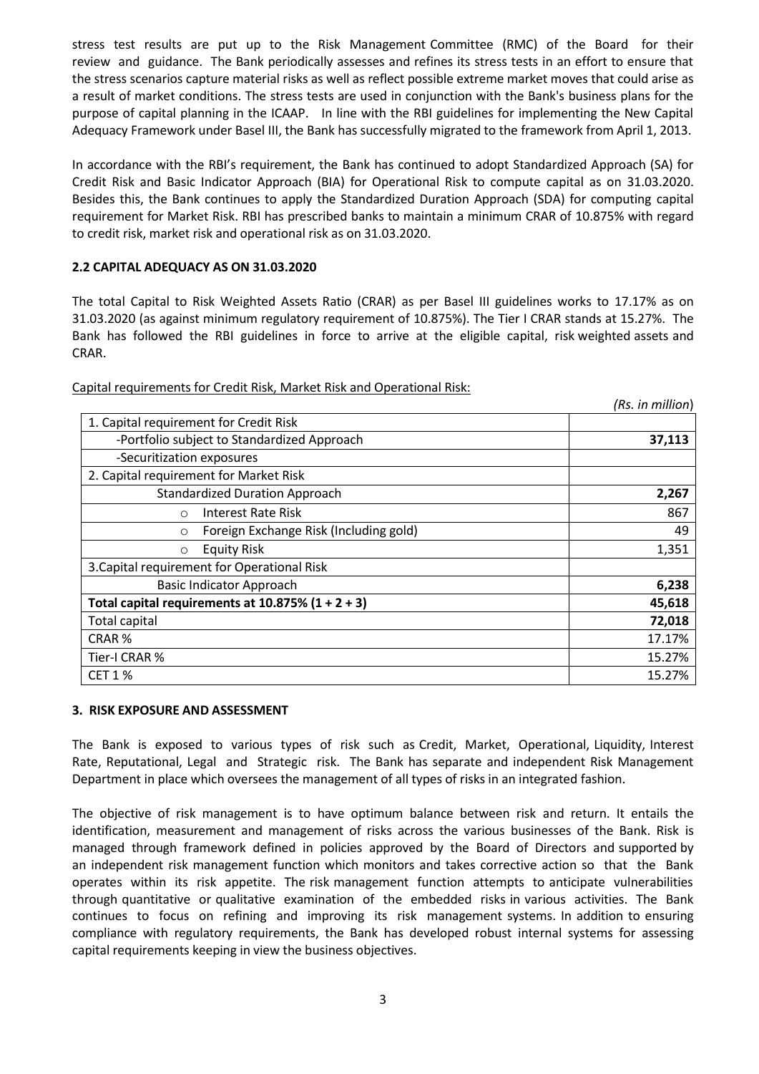stress test results are put up to the Risk Management Committee (RMC) of the Board for their review and guidance. The Bank periodically assesses and refines its stress tests in an effort to ensure that the stress scenarios capture material risks as well as reflect possible extreme market moves that could arise as a result of market conditions. The stress tests are used in conjunction with the Bank's business plans for the purpose of capital planning in the ICAAP. In line with the RBI guidelines for implementing the New Capital Adequacy Framework under Basel III, the Bank has successfully migrated to the framework from April 1, 2013.

In accordance with the RBI's requirement, the Bank has continued to adopt Standardized Approach (SA) for Credit Risk and Basic Indicator Approach (BIA) for Operational Risk to compute capital as on 31.03.2020. Besides this, the Bank continues to apply the Standardized Duration Approach (SDA) for computing capital requirement for Market Risk. RBI has prescribed banks to maintain a minimum CRAR of 10.875% with regard to credit risk, market risk and operational risk as on 31.03.2020.

## **2.2 CAPITAL ADEQUACY AS ON 31.03.2020**

The total Capital to Risk Weighted Assets Ratio (CRAR) as per Basel III guidelines works to 17.17% as on 31.03.2020 (as against minimum regulatory requirement of 10.875%). The Tier I CRAR stands at 15.27%. The Bank has followed the RBI guidelines in force to arrive at the eligible capital, risk weighted assets and CRAR.

|                                                      | (Rs. in million) |
|------------------------------------------------------|------------------|
| 1. Capital requirement for Credit Risk               |                  |
| -Portfolio subject to Standardized Approach          | 37,113           |
| -Securitization exposures                            |                  |
| 2. Capital requirement for Market Risk               |                  |
| <b>Standardized Duration Approach</b>                | 2,267            |
| Interest Rate Risk<br>$\circ$                        | 867              |
| Foreign Exchange Risk (Including gold)<br>$\circ$    | 49               |
| <b>Equity Risk</b><br>$\circ$                        | 1,351            |
| 3. Capital requirement for Operational Risk          |                  |
| <b>Basic Indicator Approach</b>                      | 6,238            |
| Total capital requirements at $10.875\%$ (1 + 2 + 3) | 45,618           |
| <b>Total capital</b>                                 | 72,018           |
| CRAR%                                                | 17.17%           |
| Tier-I CRAR %                                        | 15.27%           |
| <b>CET 1 %</b>                                       | 15.27%           |

Capital requirements for Credit Risk, Market Risk and Operational Risk:

### **3. RISK EXPOSURE AND ASSESSMENT**

The Bank is exposed to various types of risk such as Credit, Market, Operational, Liquidity, Interest Rate, Reputational, Legal and Strategic risk. The Bank has separate and independent Risk Management Department in place which oversees the management of all types of risks in an integrated fashion.

The objective of risk management is to have optimum balance between risk and return. It entails the identification, measurement and management of risks across the various businesses of the Bank. Risk is managed through framework defined in policies approved by the Board of Directors and supported by an independent risk management function which monitors and takes corrective action so that the Bank operates within its risk appetite. The risk management function attempts to anticipate vulnerabilities through quantitative or qualitative examination of the embedded risks in various activities. The Bank continues to focus on refining and improving its risk management systems. In addition to ensuring compliance with regulatory requirements, the Bank has developed robust internal systems for assessing capital requirements keeping in view the business objectives.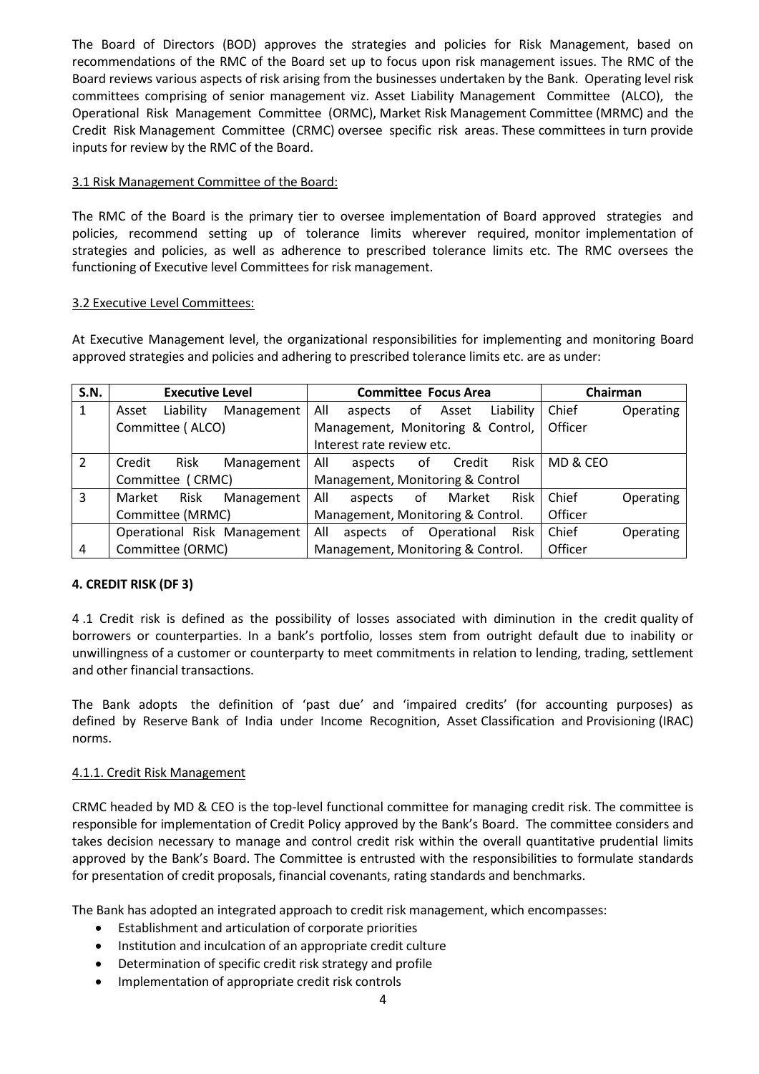The Board of Directors (BOD) approves the strategies and policies for Risk Management, based on recommendations of the RMC of the Board set up to focus upon risk management issues. The RMC of the Board reviews various aspects of risk arising from the businesses undertaken by the Bank. Operating level risk committees comprising of senior management viz. Asset Liability Management Committee (ALCO), the Operational Risk Management Committee (ORMC), Market Risk Management Committee (MRMC) and the Credit Risk Management Committee (CRMC) oversee specific risk areas. These committees in turn provide inputs for review by the RMC of the Board.

### 3.1 Risk Management Committee of the Board:

The RMC of the Board is the primary tier to oversee implementation of Board approved strategies and policies, recommend setting up of tolerance limits wherever required, monitor implementation of strategies and policies, as well as adherence to prescribed tolerance limits etc. The RMC oversees the functioning of Executive level Committees for risk management.

### 3.2 Executive Level Committees:

At Executive Management level, the organizational responsibilities for implementing and monitoring Board approved strategies and policies and adhering to prescribed tolerance limits etc. are as under:

| <b>S.N.</b> | <b>Executive Level</b> |                  |                             |                                   | <b>Committee Focus Area</b>       |     |              |           | Chairman |           |
|-------------|------------------------|------------------|-----------------------------|-----------------------------------|-----------------------------------|-----|--------------|-----------|----------|-----------|
| 1           | Asset                  | Liability        | Management                  | All                               | aspects                           | .of | Asset        | Liability | Chief    | Operating |
|             |                        | Committee (ALCO) |                             | Management, Monitoring & Control, |                                   |     | Officer      |           |          |           |
|             |                        |                  |                             |                                   | Interest rate review etc.         |     |              |           |          |           |
| 2           | Credit                 | Risk             | Management                  | All                               | aspects                           |     | Credit<br>οf | Risk      | MD & CEO |           |
|             |                        | Committee (CRMC) |                             | Management, Monitoring & Control  |                                   |     |              |           |          |           |
| 3           | Market                 | <b>Risk</b>      | Management                  | All                               | aspects                           | 0f  | Market       | Risk      | Chief    | Operating |
|             | Committee (MRMC)       |                  |                             |                                   | Management, Monitoring & Control. |     |              |           | Officer  |           |
|             |                        |                  | Operational Risk Management | All                               | aspects                           | 0f  | Operational  | Risk      | Chief    | Operating |
| 4           | Committee (ORMC)       |                  |                             |                                   | Management, Monitoring & Control. |     |              |           | Officer  |           |

## **4. CREDIT RISK (DF 3)**

4 .1 Credit risk is defined as the possibility of losses associated with diminution in the credit quality of borrowers or counterparties. In a bank's portfolio, losses stem from outright default due to inability or unwillingness of a customer or counterparty to meet commitments in relation to lending, trading, settlement and other financial transactions.

The Bank adopts the definition of 'past due' and 'impaired credits' (for accounting purposes) as defined by Reserve Bank of India under Income Recognition, Asset Classification and Provisioning (IRAC) norms.

### 4.1.1. Credit Risk Management

CRMC headed by MD & CEO is the top-level functional committee for managing credit risk. The committee is responsible for implementation of Credit Policy approved by the Bank's Board. The committee considers and takes decision necessary to manage and control credit risk within the overall quantitative prudential limits approved by the Bank's Board. The Committee is entrusted with the responsibilities to formulate standards for presentation of credit proposals, financial covenants, rating standards and benchmarks.

The Bank has adopted an integrated approach to credit risk management, which encompasses:

- Establishment and articulation of corporate priorities
- Institution and inculcation of an appropriate credit culture
- Determination of specific credit risk strategy and profile
- Implementation of appropriate credit risk controls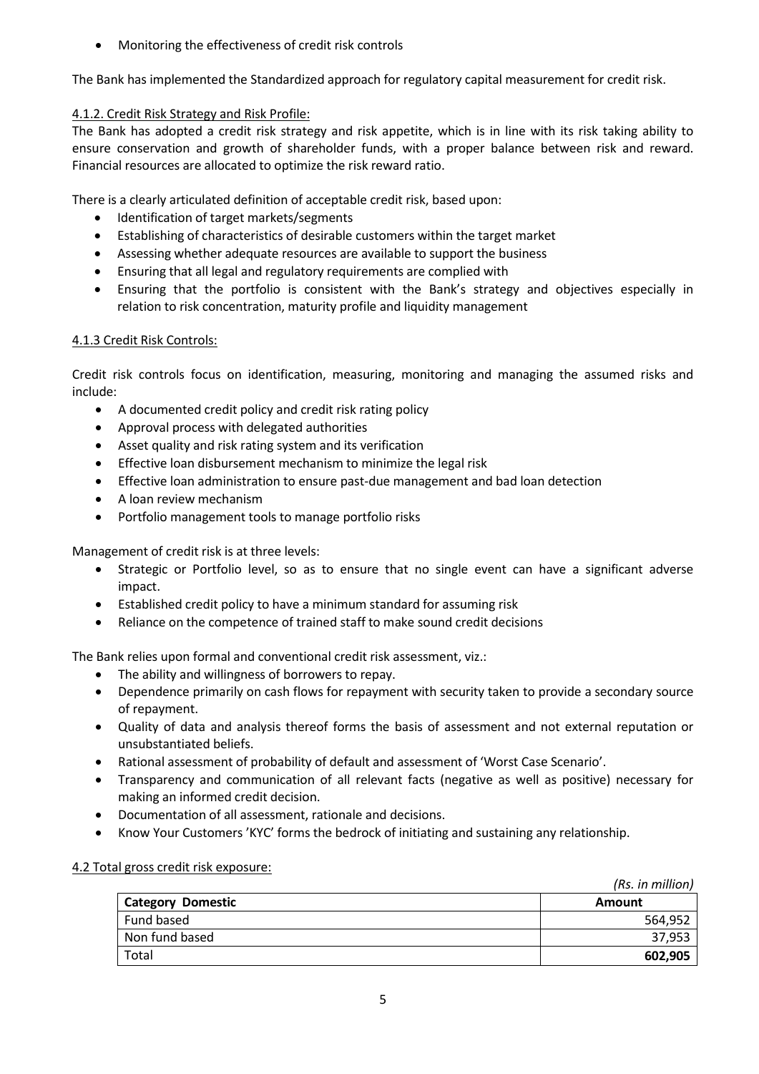Monitoring the effectiveness of credit risk controls

The Bank has implemented the Standardized approach for regulatory capital measurement for credit risk.

# 4.1.2. Credit Risk Strategy and Risk Profile:

The Bank has adopted a credit risk strategy and risk appetite, which is in line with its risk taking ability to ensure conservation and growth of shareholder funds, with a proper balance between risk and reward. Financial resources are allocated to optimize the risk reward ratio.

There is a clearly articulated definition of acceptable credit risk, based upon:

- Identification of target markets/segments
- Establishing of characteristics of desirable customers within the target market
- Assessing whether adequate resources are available to support the business
- Ensuring that all legal and regulatory requirements are complied with
- Ensuring that the portfolio is consistent with the Bank's strategy and objectives especially in relation to risk concentration, maturity profile and liquidity management

# 4.1.3 Credit Risk Controls:

Credit risk controls focus on identification, measuring, monitoring and managing the assumed risks and include:

- A documented credit policy and credit risk rating policy
- Approval process with delegated authorities
- Asset quality and risk rating system and its verification
- **Effective loan disbursement mechanism to minimize the legal risk**
- Effective loan administration to ensure past-due management and bad loan detection
- A loan review mechanism
- Portfolio management tools to manage portfolio risks

Management of credit risk is at three levels:

- Strategic or Portfolio level, so as to ensure that no single event can have a significant adverse impact.
- Established credit policy to have a minimum standard for assuming risk
- Reliance on the competence of trained staff to make sound credit decisions

The Bank relies upon formal and conventional credit risk assessment, viz.:

- The ability and willingness of borrowers to repay.
- Dependence primarily on cash flows for repayment with security taken to provide a secondary source of repayment.
- Quality of data and analysis thereof forms the basis of assessment and not external reputation or unsubstantiated beliefs.
- Rational assessment of probability of default and assessment of 'Worst Case Scenario'.
- Transparency and communication of all relevant facts (negative as well as positive) necessary for making an informed credit decision.
- Documentation of all assessment, rationale and decisions.
- Know Your Customers 'KYC' forms the bedrock of initiating and sustaining any relationship.

## 4.2 Total gross credit risk exposure:

|                          | (Rs. in million) |
|--------------------------|------------------|
| <b>Category Domestic</b> | Amount           |
| Fund based               | 564,952          |
| Non fund based           | 37,953           |
| Total                    | 602,905          |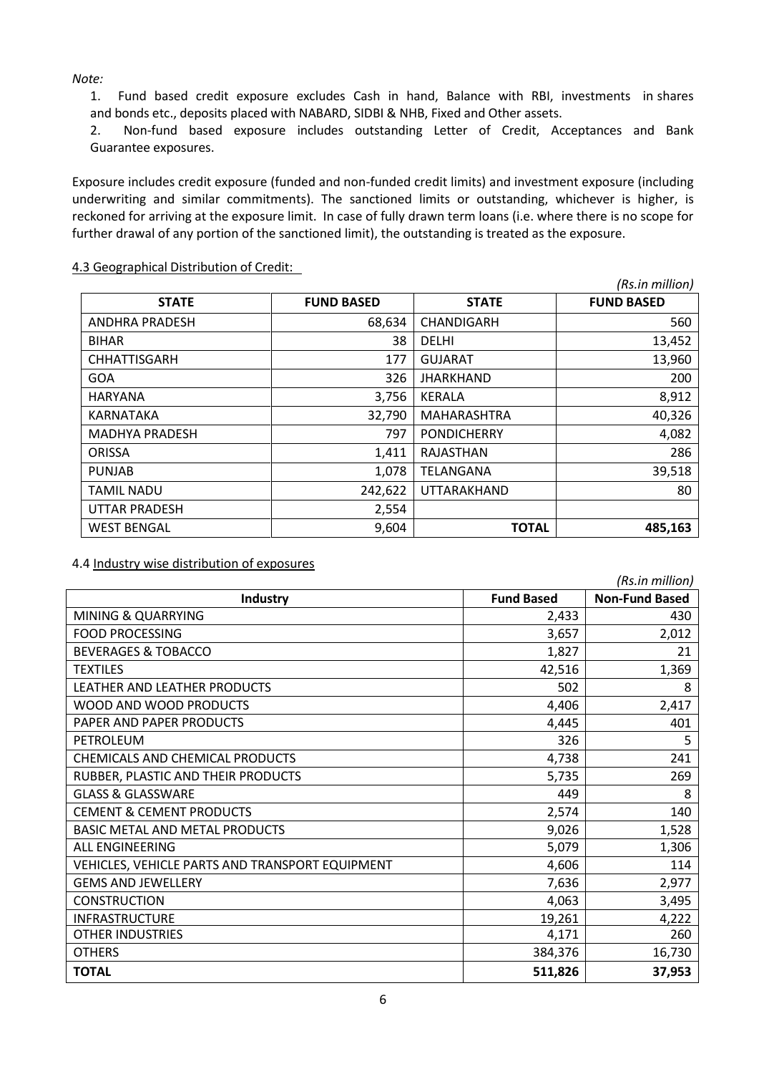*Note:*

1. Fund based credit exposure excludes Cash in hand, Balance with RBI, investments in shares and bonds etc., deposits placed with NABARD, SIDBI & NHB, Fixed and Other assets.

2. Non-fund based exposure includes outstanding Letter of Credit, Acceptances and Bank Guarantee exposures.

Exposure includes credit exposure (funded and non-funded credit limits) and investment exposure (including underwriting and similar commitments). The sanctioned limits or outstanding, whichever is higher, is reckoned for arriving at the exposure limit. In case of fully drawn term loans (i.e. where there is no scope for further drawal of any portion of the sanctioned limit), the outstanding is treated as the exposure.

|                       |                   |                    | (Rs.in million)   |
|-----------------------|-------------------|--------------------|-------------------|
| <b>STATE</b>          | <b>FUND BASED</b> | <b>STATE</b>       | <b>FUND BASED</b> |
| <b>ANDHRA PRADESH</b> | 68,634            | CHANDIGARH         | 560               |
| <b>BIHAR</b>          | 38                | <b>DELHI</b>       | 13,452            |
| <b>CHHATTISGARH</b>   | 177               | <b>GUJARAT</b>     | 13,960            |
| <b>GOA</b>            | 326               | <b>JHARKHAND</b>   | 200               |
| <b>HARYANA</b>        | 3,756             | <b>KERALA</b>      | 8,912             |
| <b>KARNATAKA</b>      | 32,790            | <b>MAHARASHTRA</b> | 40,326            |
| <b>MADHYA PRADESH</b> | 797               | <b>PONDICHERRY</b> | 4,082             |
| <b>ORISSA</b>         | 1,411             | RAJASTHAN          | 286               |
| <b>PUNJAB</b>         | 1,078             | TELANGANA          | 39,518            |
| <b>TAMIL NADU</b>     | 242,622           | <b>UTTARAKHAND</b> | 80                |
| <b>UTTAR PRADESH</b>  | 2,554             |                    |                   |
| <b>WEST BENGAL</b>    | 9,604             | <b>TOTAL</b>       | 485,163           |

4.3 Geographical Distribution of Credit:

4.4 Industry wise distribution of exposures

|                                                 |                   | (Rs.in million)       |
|-------------------------------------------------|-------------------|-----------------------|
| <b>Industry</b>                                 | <b>Fund Based</b> | <b>Non-Fund Based</b> |
| <b>MINING &amp; QUARRYING</b>                   | 2,433             | 430                   |
| <b>FOOD PROCESSING</b>                          | 3,657             | 2,012                 |
| <b>BEVERAGES &amp; TOBACCO</b>                  | 1,827             | 21                    |
| <b>TEXTILES</b>                                 | 42,516            | 1,369                 |
| LEATHER AND LEATHER PRODUCTS                    | 502               | 8                     |
| WOOD AND WOOD PRODUCTS                          | 4,406             | 2,417                 |
| PAPER AND PAPER PRODUCTS                        | 4,445             | 401                   |
| PETROLEUM                                       | 326               | 5                     |
| CHEMICALS AND CHEMICAL PRODUCTS                 | 4,738             | 241                   |
| RUBBER, PLASTIC AND THEIR PRODUCTS              | 5,735             | 269                   |
| <b>GLASS &amp; GLASSWARE</b>                    | 449               | 8                     |
| <b>CEMENT &amp; CEMENT PRODUCTS</b>             | 2,574             | 140                   |
| <b>BASIC METAL AND METAL PRODUCTS</b>           | 9,026             | 1,528                 |
| <b>ALL FNGINFFRING</b>                          | 5,079             | 1,306                 |
| VEHICLES, VEHICLE PARTS AND TRANSPORT EQUIPMENT | 4,606             | 114                   |
| <b>GEMS AND JEWELLERY</b>                       | 7,636             | 2,977                 |
| <b>CONSTRUCTION</b>                             | 4,063             | 3,495                 |
| <b>INFRASTRUCTURE</b>                           | 19,261            | 4,222                 |
| <b>OTHER INDUSTRIES</b>                         | 4,171             | 260                   |
| <b>OTHERS</b>                                   | 384,376           | 16,730                |
| <b>TOTAL</b>                                    | 511,826           | 37,953                |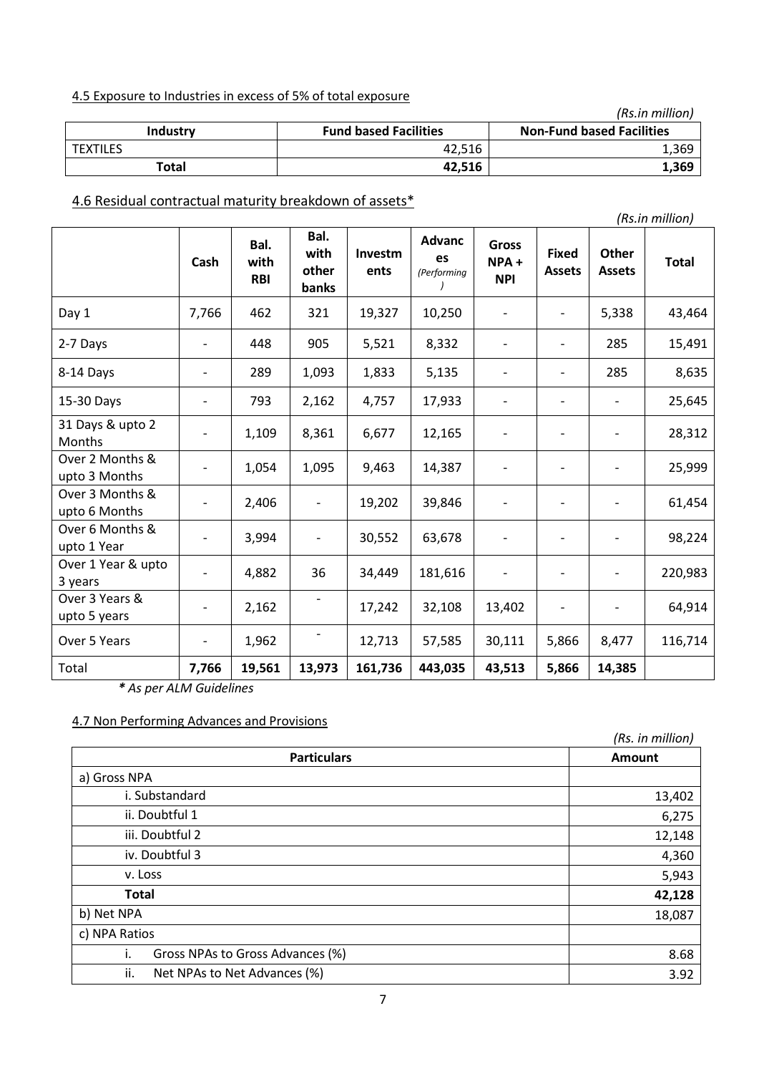# 4.5 Exposure to Industries in excess of 5% of total exposure

|                 |                              | (Rs.in million)                  |
|-----------------|------------------------------|----------------------------------|
| <b>Industry</b> | <b>Fund based Facilities</b> | <b>Non-Fund based Facilities</b> |
| <b>TEXTILES</b> | 42.516                       | 1,369                            |
| Total           | 42.516                       | 1,369                            |

# 4.6 Residual contractual maturity breakdown of assets\*

|                                   |                          |                            |                                |                 |                                    |                                       |                               |                               | $\left  \ldots \ldots \ldots \right $ |
|-----------------------------------|--------------------------|----------------------------|--------------------------------|-----------------|------------------------------------|---------------------------------------|-------------------------------|-------------------------------|---------------------------------------|
|                                   | Cash                     | Bal.<br>with<br><b>RBI</b> | Bal.<br>with<br>other<br>banks | Investm<br>ents | <b>Advanc</b><br>es<br>(Performing | <b>Gross</b><br>$NPA +$<br><b>NPI</b> | <b>Fixed</b><br><b>Assets</b> | <b>Other</b><br><b>Assets</b> | <b>Total</b>                          |
| Day 1                             | 7,766                    | 462                        | 321                            | 19,327          | 10,250                             |                                       | $\overline{\phantom{a}}$      | 5,338                         | 43,464                                |
| 2-7 Days                          | $\overline{\phantom{0}}$ | 448                        | 905                            | 5,521           | 8,332                              |                                       | $\overline{\phantom{a}}$      | 285                           | 15,491                                |
| 8-14 Days                         | $\overline{a}$           | 289                        | 1,093                          | 1,833           | 5,135                              |                                       |                               | 285                           | 8,635                                 |
| 15-30 Days                        | $\overline{\phantom{0}}$ | 793                        | 2,162                          | 4,757           | 17,933                             | $\overline{\phantom{a}}$              |                               |                               | 25,645                                |
| 31 Days & upto 2<br><b>Months</b> |                          | 1,109                      | 8,361                          | 6,677           | 12,165                             |                                       |                               |                               | 28,312                                |
| Over 2 Months &<br>upto 3 Months  | $\overline{\phantom{a}}$ | 1,054                      | 1,095                          | 9,463           | 14,387                             | $\overline{\phantom{a}}$              |                               |                               | 25,999                                |
| Over 3 Months &<br>upto 6 Months  |                          | 2,406                      |                                | 19,202          | 39,846                             |                                       |                               |                               | 61,454                                |
| Over 6 Months &<br>upto 1 Year    |                          | 3,994                      |                                | 30,552          | 63,678                             |                                       |                               |                               | 98,224                                |
| Over 1 Year & upto<br>3 years     | $\overline{\phantom{a}}$ | 4,882                      | 36                             | 34,449          | 181,616                            | $\overline{\phantom{a}}$              |                               |                               | 220,983                               |
| Over 3 Years &<br>upto 5 years    | $\overline{\phantom{a}}$ | 2,162                      |                                | 17,242          | 32,108                             | 13,402                                |                               |                               | 64,914                                |
| Over 5 Years                      | $\overline{\phantom{a}}$ | 1,962                      |                                | 12,713          | 57,585                             | 30,111                                | 5,866                         | 8,477                         | 116,714                               |
| Total                             | 7,766                    | 19,561                     | 13,973                         | 161,736         | 443,035                            | 43,513                                | 5,866                         | 14,385                        |                                       |

*\* As per ALM Guidelines*

# 4.7 Non Performing Advances and Provisions

|                                        | (Rs. in million) |
|----------------------------------------|------------------|
| <b>Particulars</b>                     | Amount           |
| a) Gross NPA                           |                  |
| i. Substandard                         | 13,402           |
| ii. Doubtful 1                         | 6,275            |
| iii. Doubtful 2                        | 12,148           |
| iv. Doubtful 3                         | 4,360            |
| v. Loss                                | 5,943            |
| <b>Total</b>                           | 42,128           |
| b) Net NPA                             | 18,087           |
| c) NPA Ratios                          |                  |
| i.<br>Gross NPAs to Gross Advances (%) | 8.68             |
| ii.<br>Net NPAs to Net Advances (%)    | 3.92             |

*(Rs.in million)*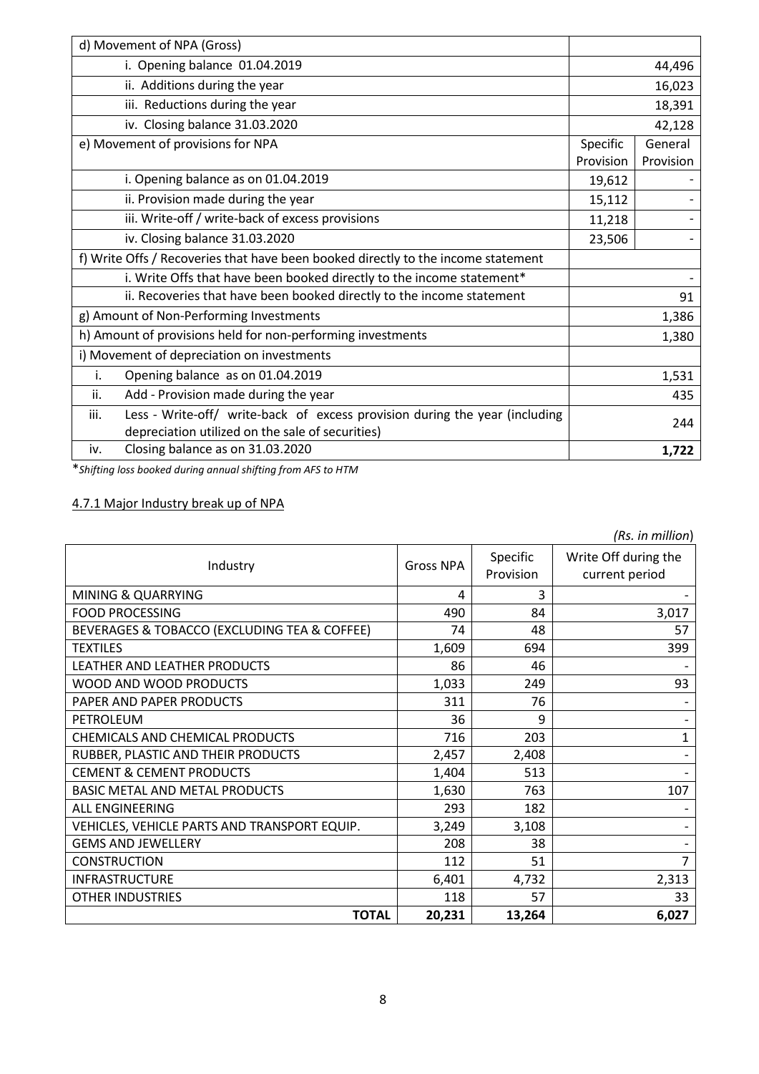| d) Movement of NPA (Gross)                                                          |           |           |
|-------------------------------------------------------------------------------------|-----------|-----------|
| i. Opening balance 01.04.2019                                                       | 44,496    |           |
| ii. Additions during the year                                                       |           | 16,023    |
| iii. Reductions during the year                                                     |           | 18,391    |
| iv. Closing balance 31.03.2020                                                      |           | 42,128    |
| e) Movement of provisions for NPA                                                   | Specific  | General   |
|                                                                                     | Provision | Provision |
| i. Opening balance as on 01.04.2019                                                 | 19,612    |           |
| ii. Provision made during the year                                                  | 15,112    |           |
| iii. Write-off / write-back of excess provisions                                    | 11,218    |           |
| iv. Closing balance 31.03.2020                                                      | 23,506    |           |
| f) Write Offs / Recoveries that have been booked directly to the income statement   |           |           |
| i. Write Offs that have been booked directly to the income statement*               |           |           |
| ii. Recoveries that have been booked directly to the income statement               |           | 91        |
| g) Amount of Non-Performing Investments                                             |           | 1,386     |
| h) Amount of provisions held for non-performing investments                         |           | 1,380     |
| i) Movement of depreciation on investments                                          |           |           |
| Opening balance as on 01.04.2019<br>i.                                              |           | 1,531     |
| Add - Provision made during the year<br>ii.                                         |           | 435       |
| Less - Write-off/ write-back of excess provision during the year (including<br>iii. |           | 244       |
| depreciation utilized on the sale of securities)                                    |           |           |
| Closing balance as on 31.03.2020<br>iv.                                             |           | 1,722     |

\**Shifting loss booked during annual shifting from AFS to HTM*

# 4.7.1 Major Industry break up of NPA

| (Rs. in million)                             |                  |           |                      |
|----------------------------------------------|------------------|-----------|----------------------|
| Industry                                     | <b>Gross NPA</b> | Specific  | Write Off during the |
|                                              |                  | Provision | current period       |
| MINING & QUARRYING                           | 4                | 3         |                      |
| <b>FOOD PROCESSING</b>                       | 490              | 84        | 3,017                |
| BEVERAGES & TOBACCO (EXCLUDING TEA & COFFEE) | 74               | 48        | 57                   |
| <b>TEXTILES</b>                              | 1,609            | 694       | 399                  |
| LEATHER AND LEATHER PRODUCTS                 | 86               | 46        |                      |
| WOOD AND WOOD PRODUCTS                       | 1,033            | 249       | 93                   |
| PAPER AND PAPER PRODUCTS                     | 311              | 76        |                      |
| PETROLEUM                                    | 36               | 9         |                      |
| CHEMICALS AND CHEMICAL PRODUCTS              | 716              | 203       | 1                    |
| RUBBER, PLASTIC AND THEIR PRODUCTS           | 2,457            | 2,408     |                      |
| <b>CEMENT &amp; CEMENT PRODUCTS</b>          | 1,404            | 513       |                      |
| <b>BASIC METAL AND METAL PRODUCTS</b>        | 1,630            | 763       | 107                  |
| <b>ALL ENGINEERING</b>                       | 293              | 182       |                      |
| VEHICLES, VEHICLE PARTS AND TRANSPORT EQUIP. | 3,249            | 3,108     |                      |
| <b>GEMS AND JEWELLERY</b>                    | 208              | 38        |                      |
| <b>CONSTRUCTION</b>                          | 112              | 51        | 7                    |
| <b>INFRASTRUCTURE</b>                        | 6,401            | 4,732     | 2,313                |
| <b>OTHER INDUSTRIES</b>                      | 118              | 57        | 33                   |
| <b>TOTAL</b>                                 | 20,231           | 13,264    | 6,027                |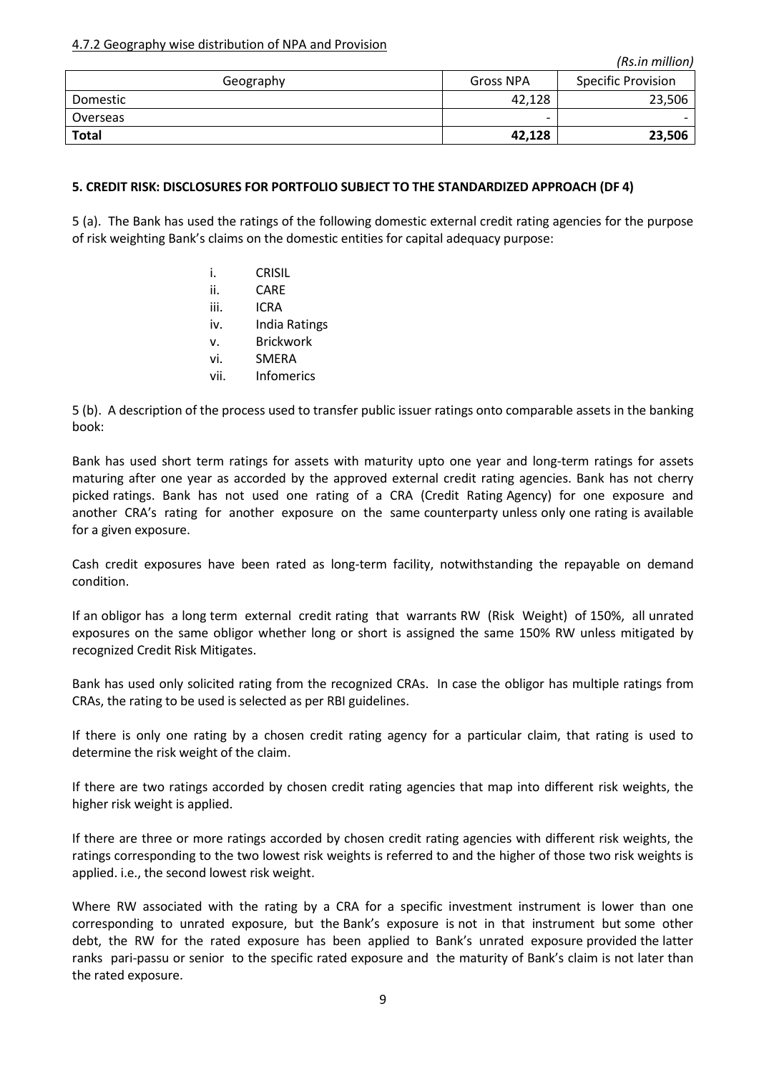4.7.2 Geography wise distribution of NPA and Provision

| Geography    | <b>Gross NPA</b> | <b>Specific Provision</b> |
|--------------|------------------|---------------------------|
| Domestic     | 42,128           | 23,506                    |
| Overseas     | -                |                           |
| <b>Total</b> | 42,128           | 23,506                    |

## **5. CREDIT RISK: DISCLOSURES FOR PORTFOLIO SUBJECT TO THE STANDARDIZED APPROACH (DF 4)**

5 (a). The Bank has used the ratings of the following domestic external credit rating agencies for the purpose of risk weighting Bank's claims on the domestic entities for capital adequacy purpose:

- i. CRISIL
- ii. CARE
- iii. ICRA
- iv. India Ratings
- v. Brickwork
- vi. SMERA
- vii. Infomerics

5 (b). A description of the process used to transfer public issuer ratings onto comparable assets in the banking book:

Bank has used short term ratings for assets with maturity upto one year and long-term ratings for assets maturing after one year as accorded by the approved external credit rating agencies. Bank has not cherry picked ratings. Bank has not used one rating of a CRA (Credit Rating Agency) for one exposure and another CRA's rating for another exposure on the same counterparty unless only one rating is available for a given exposure.

Cash credit exposures have been rated as long-term facility, notwithstanding the repayable on demand condition.

If an obligor has a long term external credit rating that warrants RW (Risk Weight) of 150%, all unrated exposures on the same obligor whether long or short is assigned the same 150% RW unless mitigated by recognized Credit Risk Mitigates.

Bank has used only solicited rating from the recognized CRAs. In case the obligor has multiple ratings from CRAs, the rating to be used is selected as per RBI guidelines.

If there is only one rating by a chosen credit rating agency for a particular claim, that rating is used to determine the risk weight of the claim.

If there are two ratings accorded by chosen credit rating agencies that map into different risk weights, the higher risk weight is applied.

If there are three or more ratings accorded by chosen credit rating agencies with different risk weights, the ratings corresponding to the two lowest risk weights is referred to and the higher of those two risk weights is applied. i.e., the second lowest risk weight.

Where RW associated with the rating by a CRA for a specific investment instrument is lower than one corresponding to unrated exposure, but the Bank's exposure is not in that instrument but some other debt, the RW for the rated exposure has been applied to Bank's unrated exposure provided the latter ranks pari-passu or senior to the specific rated exposure and the maturity of Bank's claim is not later than the rated exposure.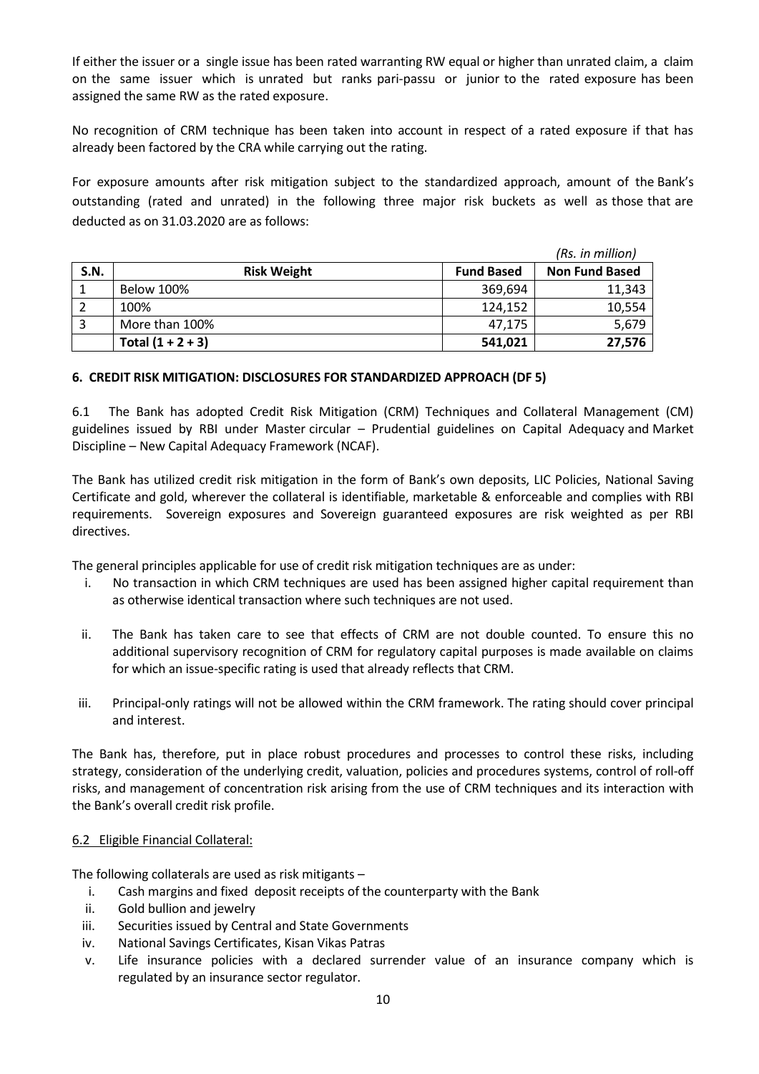If either the issuer or a single issue has been rated warranting RW equal or higher than unrated claim, a claim on the same issuer which is unrated but ranks pari-passu or junior to the rated exposure has been assigned the same RW as the rated exposure.

No recognition of CRM technique has been taken into account in respect of a rated exposure if that has already been factored by the CRA while carrying out the rating.

For exposure amounts after risk mitigation subject to the standardized approach, amount of the Bank's outstanding (rated and unrated) in the following three major risk buckets as well as those that are deducted as on 31.03.2020 are as follows:

|             | (Rs. in million)    |                   |                       |
|-------------|---------------------|-------------------|-----------------------|
| <b>S.N.</b> | <b>Risk Weight</b>  | <b>Fund Based</b> | <b>Non Fund Based</b> |
|             | <b>Below 100%</b>   | 369,694           | 11,343                |
|             | 100%                | 124,152           | 10,554                |
|             | More than 100%      | 47.175            | 5,679                 |
|             | Total $(1 + 2 + 3)$ | 541,021           | 27,576                |

### **6. CREDIT RISK MITIGATION: DISCLOSURES FOR STANDARDIZED APPROACH (DF 5)**

6.1 The Bank has adopted Credit Risk Mitigation (CRM) Techniques and Collateral Management (CM) guidelines issued by RBI under Master circular – Prudential guidelines on Capital Adequacy and Market Discipline – New Capital Adequacy Framework (NCAF).

The Bank has utilized credit risk mitigation in the form of Bank's own deposits, LIC Policies, National Saving Certificate and gold, wherever the collateral is identifiable, marketable & enforceable and complies with RBI requirements. Sovereign exposures and Sovereign guaranteed exposures are risk weighted as per RBI directives.

The general principles applicable for use of credit risk mitigation techniques are as under:

- i. No transaction in which CRM techniques are used has been assigned higher capital requirement than as otherwise identical transaction where such techniques are not used.
- ii. The Bank has taken care to see that effects of CRM are not double counted. To ensure this no additional supervisory recognition of CRM for regulatory capital purposes is made available on claims for which an issue-specific rating is used that already reflects that CRM.
- iii. Principal-only ratings will not be allowed within the CRM framework. The rating should cover principal and interest.

The Bank has, therefore, put in place robust procedures and processes to control these risks, including strategy, consideration of the underlying credit, valuation, policies and procedures systems, control of roll-off risks, and management of concentration risk arising from the use of CRM techniques and its interaction with the Bank's overall credit risk profile.

### 6.2 Eligible Financial Collateral:

The following collaterals are used as risk mitigants –

- i. Cash margins and fixed deposit receipts of the counterparty with the Bank
- ii. Gold bullion and jewelry
- iii. Securities issued by Central and State Governments
- iv. National Savings Certificates, Kisan Vikas Patras
- v. Life insurance policies with a declared surrender value of an insurance company which is regulated by an insurance sector regulator.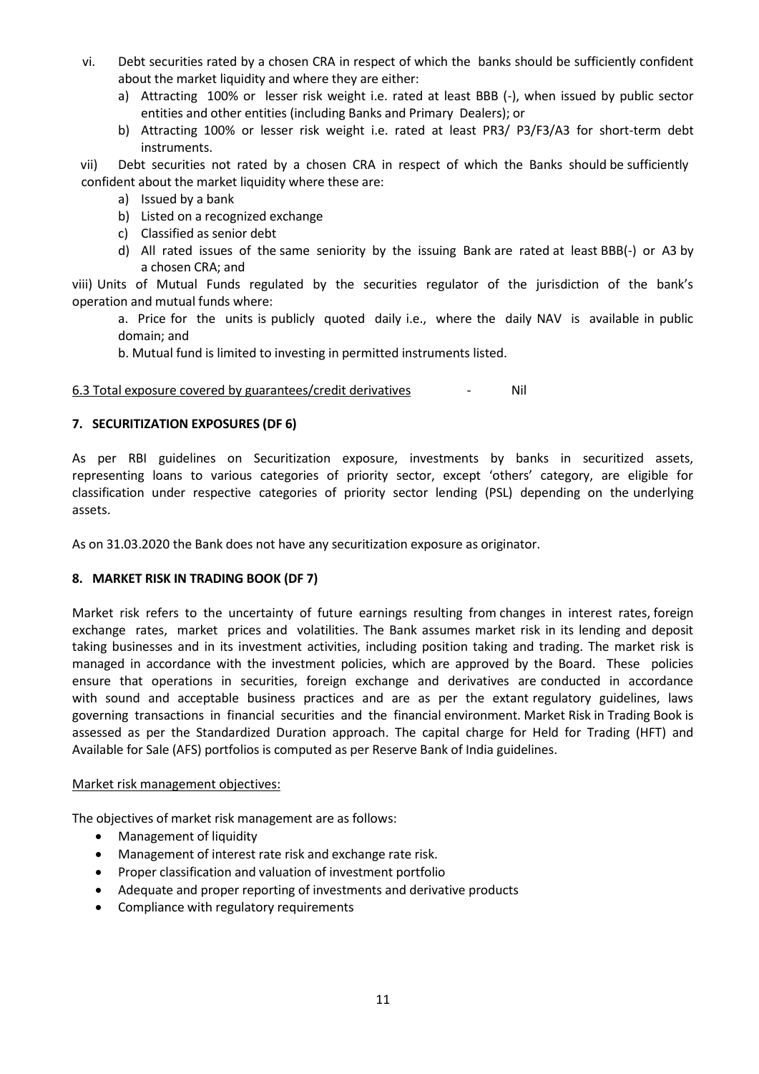- vi. Debt securities rated by a chosen CRA in respect of which the banks should be sufficiently confident about the market liquidity and where they are either:
	- a) Attracting 100% or lesser risk weight i.e. rated at least BBB (-), when issued by public sector entities and other entities (including Banks and Primary Dealers); or
	- b) Attracting 100% or lesser risk weight i.e. rated at least PR3/ P3/F3/A3 for short-term debt instruments.

vii) Debt securities not rated by a chosen CRA in respect of which the Banks should be sufficiently confident about the market liquidity where these are:

- a) Issued by a bank
- b) Listed on a recognized exchange
- c) Classified as senior debt
- d) All rated issues of the same seniority by the issuing Bank are rated at least BBB(-) or A3 by a chosen CRA; and

viii) Units of Mutual Funds regulated by the securities regulator of the jurisdiction of the bank's operation and mutual funds where:

a. Price for the units is publicly quoted daily i.e., where the daily NAV is available in public domain; and

b. Mutual fund is limited to investing in permitted instruments listed.

### 6.3 Total exposure covered by guarantees/credit derivatives **Fig. 1.4 Solution** Nil

### **7. SECURITIZATION EXPOSURES (DF 6)**

As per RBI guidelines on Securitization exposure, investments by banks in securitized assets, representing loans to various categories of priority sector, except 'others' category, are eligible for classification under respective categories of priority sector lending (PSL) depending on the underlying assets.

As on 31.03.2020 the Bank does not have any securitization exposure as originator.

### **8. MARKET RISK IN TRADING BOOK (DF 7)**

Market risk refers to the uncertainty of future earnings resulting from changes in interest rates, foreign exchange rates, market prices and volatilities. The Bank assumes market risk in its lending and deposit taking businesses and in its investment activities, including position taking and trading. The market risk is managed in accordance with the investment policies, which are approved by the Board. These policies ensure that operations in securities, foreign exchange and derivatives are conducted in accordance with sound and acceptable business practices and are as per the extant regulatory guidelines, laws governing transactions in financial securities and the financial environment. Market Risk in Trading Book is assessed as per the Standardized Duration approach. The capital charge for Held for Trading (HFT) and Available for Sale (AFS) portfolios is computed as per Reserve Bank of India guidelines.

#### Market risk management objectives:

The objectives of market risk management are as follows:

- Management of liquidity
- Management of interest rate risk and exchange rate risk.
- Proper classification and valuation of investment portfolio
- Adequate and proper reporting of investments and derivative products
- Compliance with regulatory requirements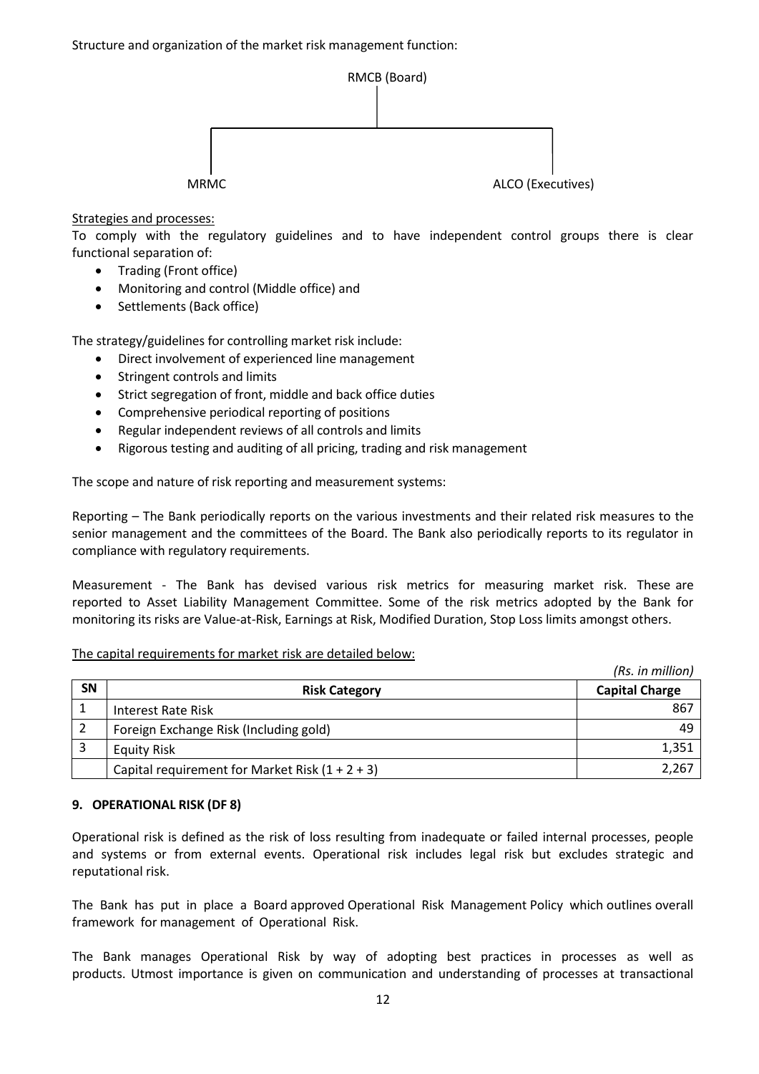

Strategies and processes:

To comply with the regulatory guidelines and to have independent control groups there is clear functional separation of:

- Trading (Front office)
- Monitoring and control (Middle office) and
- Settlements (Back office)

The strategy/guidelines for controlling market risk include:

- Direct involvement of experienced line management
- Stringent controls and limits
- Strict segregation of front, middle and back office duties
- Comprehensive periodical reporting of positions
- Regular independent reviews of all controls and limits
- Rigorous testing and auditing of all pricing, trading and risk management

The scope and nature of risk reporting and measurement systems:

Reporting – The Bank periodically reports on the various investments and their related risk measures to the senior management and the committees of the Board. The Bank also periodically reports to its regulator in compliance with regulatory requirements.

Measurement - The Bank has devised various risk metrics for measuring market risk. These are reported to Asset Liability Management Committee. Some of the risk metrics adopted by the Bank for monitoring its risks are Value-at-Risk, Earnings at Risk, Modified Duration, Stop Loss limits amongst others.

### The capital requirements for market risk are detailed below:

|           |                                                   | (Rs. in million)      |
|-----------|---------------------------------------------------|-----------------------|
| <b>SN</b> | <b>Risk Category</b>                              | <b>Capital Charge</b> |
|           | Interest Rate Risk                                | 867                   |
|           | Foreign Exchange Risk (Including gold)            |                       |
|           | Equity Risk                                       | 1,351                 |
|           | Capital requirement for Market Risk $(1 + 2 + 3)$ | 2,267                 |

## **9. OPERATIONAL RISK (DF 8)**

Operational risk is defined as the risk of loss resulting from inadequate or failed internal processes, people and systems or from external events. Operational risk includes legal risk but excludes strategic and reputational risk.

The Bank has put in place a Board approved Operational Risk Management Policy which outlines overall framework for management of Operational Risk.

The Bank manages Operational Risk by way of adopting best practices in processes as well as products. Utmost importance is given on communication and understanding of processes at transactional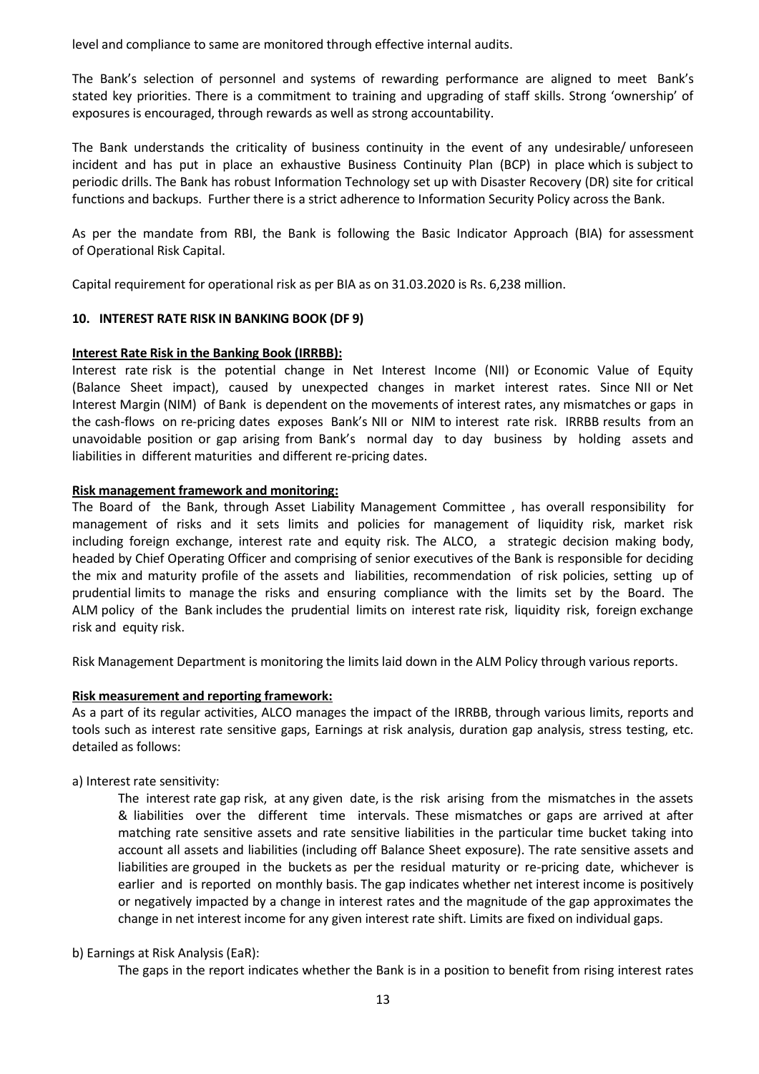level and compliance to same are monitored through effective internal audits.

The Bank's selection of personnel and systems of rewarding performance are aligned to meet Bank's stated key priorities. There is a commitment to training and upgrading of staff skills. Strong 'ownership' of exposures is encouraged, through rewards as well as strong accountability.

The Bank understands the criticality of business continuity in the event of any undesirable/ unforeseen incident and has put in place an exhaustive Business Continuity Plan (BCP) in place which is subject to periodic drills. The Bank has robust Information Technology set up with Disaster Recovery (DR) site for critical functions and backups. Further there is a strict adherence to Information Security Policy across the Bank.

As per the mandate from RBI, the Bank is following the Basic Indicator Approach (BIA) for assessment of Operational Risk Capital.

Capital requirement for operational risk as per BIA as on 31.03.2020 is Rs. 6,238 million.

### **10. INTEREST RATE RISK IN BANKING BOOK (DF 9)**

### **Interest Rate Risk in the Banking Book (IRRBB):**

Interest rate risk is the potential change in Net Interest Income (NII) or Economic Value of Equity (Balance Sheet impact), caused by unexpected changes in market interest rates. Since NII or Net Interest Margin (NIM) of Bank is dependent on the movements of interest rates, any mismatches or gaps in the cash-flows on re-pricing dates exposes Bank's NII or NIM to interest rate risk. IRRBB results from an unavoidable position or gap arising from Bank's normal day to day business by holding assets and liabilities in different maturities and different re-pricing dates.

### **Risk management framework and monitoring:**

The Board of the Bank, through Asset Liability Management Committee , has overall responsibility for management of risks and it sets limits and policies for management of liquidity risk, market risk including foreign exchange, interest rate and equity risk. The ALCO, a strategic decision making body, headed by Chief Operating Officer and comprising of senior executives of the Bank is responsible for deciding the mix and maturity profile of the assets and liabilities, recommendation of risk policies, setting up of prudential limits to manage the risks and ensuring compliance with the limits set by the Board. The ALM policy of the Bank includes the prudential limits on interest rate risk, liquidity risk, foreign exchange risk and equity risk.

Risk Management Department is monitoring the limits laid down in the ALM Policy through various reports.

### **Risk measurement and reporting framework:**

As a part of its regular activities, ALCO manages the impact of the IRRBB, through various limits, reports and tools such as interest rate sensitive gaps, Earnings at risk analysis, duration gap analysis, stress testing, etc. detailed as follows:

a) Interest rate sensitivity:

The interest rate gap risk, at any given date, is the risk arising from the mismatches in the assets & liabilities over the different time intervals. These mismatches or gaps are arrived at after matching rate sensitive assets and rate sensitive liabilities in the particular time bucket taking into account all assets and liabilities (including off Balance Sheet exposure). The rate sensitive assets and liabilities are grouped in the buckets as per the residual maturity or re-pricing date, whichever is earlier and is reported on monthly basis. The gap indicates whether net interest income is positively or negatively impacted by a change in interest rates and the magnitude of the gap approximates the change in net interest income for any given interest rate shift. Limits are fixed on individual gaps.

### b) Earnings at Risk Analysis (EaR):

The gaps in the report indicates whether the Bank is in a position to benefit from rising interest rates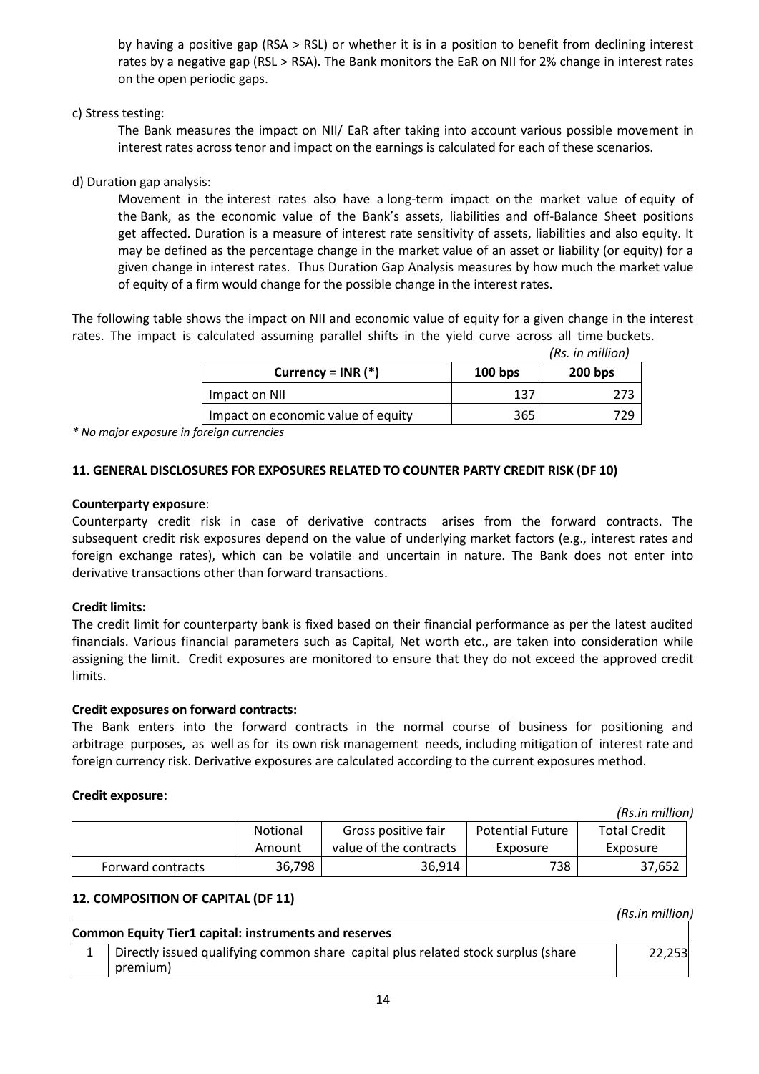by having a positive gap (RSA > RSL) or whether it is in a position to benefit from declining interest rates by a negative gap (RSL > RSA). The Bank monitors the EaR on NII for 2% change in interest rates on the open periodic gaps.

### c) Stress testing:

The Bank measures the impact on NII/ EaR after taking into account various possible movement in interest rates across tenor and impact on the earnings is calculated for each of these scenarios.

## d) Duration gap analysis:

Movement in the interest rates also have a long-term impact on the market value of equity of the Bank, as the economic value of the Bank's assets, liabilities and off-Balance Sheet positions get affected. Duration is a measure of interest rate sensitivity of assets, liabilities and also equity. It may be defined as the percentage change in the market value of an asset or liability (or equity) for a given change in interest rates. Thus Duration Gap Analysis measures by how much the market value of equity of a firm would change for the possible change in the interest rates.

The following table shows the impact on NII and economic value of equity for a given change in the interest rates. The impact is calculated assuming parallel shifts in the yield curve across all time buckets.

|  | ่ Rs. in million) |  |
|--|-------------------|--|

|                                    |           | (Rs. in million) |
|------------------------------------|-----------|------------------|
| Currency = $INR$ (*)               | $100$ bps | $200$ bps        |
| Impact on NII                      | 137       |                  |
| Impact on economic value of equity | 365       |                  |

*\* No major exposure in foreign currencies*

### **11. GENERAL DISCLOSURES FOR EXPOSURES RELATED TO COUNTER PARTY CREDIT RISK (DF 10)**

#### **Counterparty exposure**:

Counterparty credit risk in case of derivative contracts arises from the forward contracts. The subsequent credit risk exposures depend on the value of underlying market factors (e.g., interest rates and foreign exchange rates), which can be volatile and uncertain in nature. The Bank does not enter into derivative transactions other than forward transactions.

### **Credit limits:**

The credit limit for counterparty bank is fixed based on their financial performance as per the latest audited financials. Various financial parameters such as Capital, Net worth etc., are taken into consideration while assigning the limit. Credit exposures are monitored to ensure that they do not exceed the approved credit limits.

### **Credit exposures on forward contracts:**

The Bank enters into the forward contracts in the normal course of business for positioning and arbitrage purposes, as well as for its own risk management needs, including mitigation of interest rate and foreign currency risk. Derivative exposures are calculated according to the current exposures method.

### **Credit exposure:**

|                   |                 |                        | (Rs.in million)         |                     |
|-------------------|-----------------|------------------------|-------------------------|---------------------|
|                   | <b>Notional</b> | Gross positive fair    | <b>Potential Future</b> | <b>Total Credit</b> |
|                   | Amount          | value of the contracts | Exposure                | Exposure            |
| Forward contracts | 36,798          | 36,914                 | 738                     | 37,652              |

## **12. COMPOSITION OF CAPITAL (DF 11)**

 *(Rs.in million)*

| Common Equity Tier1 capital: instruments and reserves                             |        |
|-----------------------------------------------------------------------------------|--------|
| Directly issued qualifying common share capital plus related stock surplus (share | 22,253 |
| premium)                                                                          |        |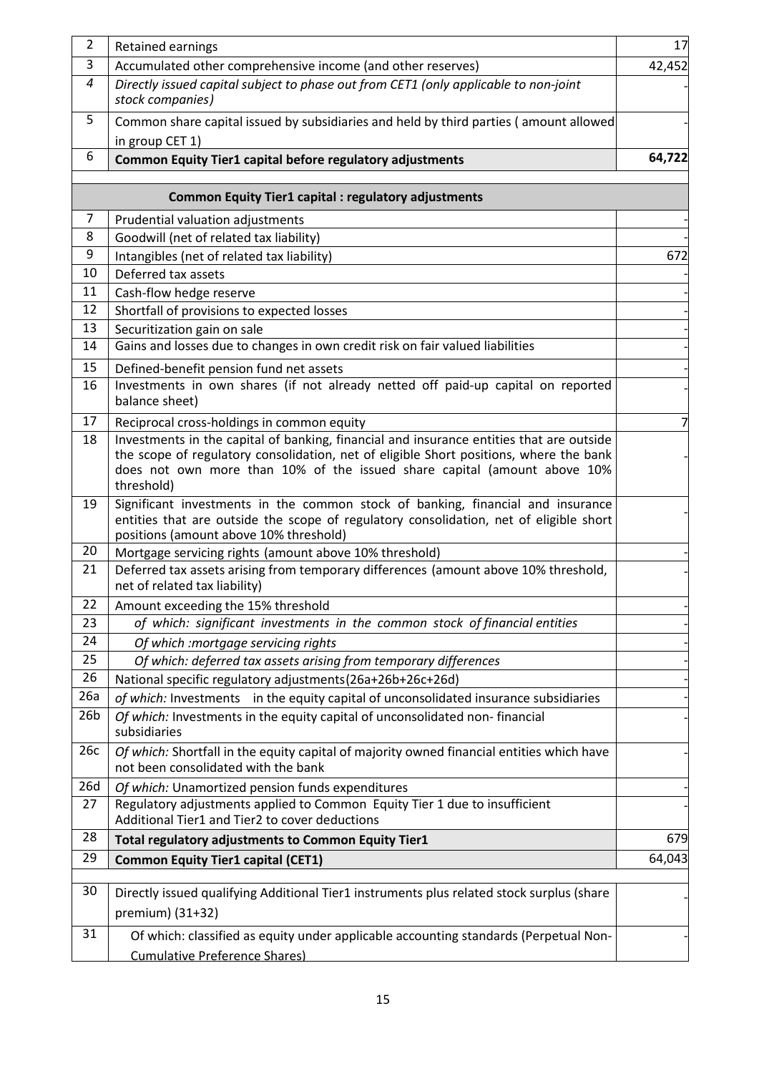| $\overline{2}$  | Retained earnings                                                                                                                                                                                                   | 17     |
|-----------------|---------------------------------------------------------------------------------------------------------------------------------------------------------------------------------------------------------------------|--------|
| 3               | Accumulated other comprehensive income (and other reserves)                                                                                                                                                         | 42,452 |
| 4               | Directly issued capital subject to phase out from CET1 (only applicable to non-joint<br>stock companies)                                                                                                            |        |
| 5               | Common share capital issued by subsidiaries and held by third parties (amount allowed                                                                                                                               |        |
| 6               | in group CET 1)<br>Common Equity Tier1 capital before regulatory adjustments                                                                                                                                        | 64,722 |
|                 | <b>Common Equity Tier1 capital : regulatory adjustments</b>                                                                                                                                                         |        |
| $\overline{7}$  |                                                                                                                                                                                                                     |        |
| 8               | Prudential valuation adjustments<br>Goodwill (net of related tax liability)                                                                                                                                         |        |
| 9               | Intangibles (net of related tax liability)                                                                                                                                                                          | 672    |
| 10              | Deferred tax assets                                                                                                                                                                                                 |        |
| 11              | Cash-flow hedge reserve                                                                                                                                                                                             |        |
| 12              | Shortfall of provisions to expected losses                                                                                                                                                                          |        |
| 13              | Securitization gain on sale                                                                                                                                                                                         |        |
| 14              | Gains and losses due to changes in own credit risk on fair valued liabilities                                                                                                                                       |        |
| 15              | Defined-benefit pension fund net assets                                                                                                                                                                             |        |
| 16              | Investments in own shares (if not already netted off paid-up capital on reported<br>balance sheet)                                                                                                                  |        |
| 17              | Reciprocal cross-holdings in common equity                                                                                                                                                                          | 7      |
| 18              | Investments in the capital of banking, financial and insurance entities that are outside                                                                                                                            |        |
|                 | the scope of regulatory consolidation, net of eligible Short positions, where the bank<br>does not own more than 10% of the issued share capital (amount above 10%<br>threshold)                                    |        |
| 19              | Significant investments in the common stock of banking, financial and insurance<br>entities that are outside the scope of regulatory consolidation, net of eligible short<br>positions (amount above 10% threshold) |        |
| 20              | Mortgage servicing rights (amount above 10% threshold)                                                                                                                                                              |        |
| 21              | Deferred tax assets arising from temporary differences (amount above 10% threshold,<br>net of related tax liability)                                                                                                |        |
| 22              | Amount exceeding the 15% threshold                                                                                                                                                                                  |        |
| 23              | of which: significant investments in the common stock of financial entities                                                                                                                                         |        |
| 24              | Of which :mortgage servicing rights                                                                                                                                                                                 |        |
| 25              | Of which: deferred tax assets arising from temporary differences                                                                                                                                                    |        |
| 26              | National specific regulatory adjustments(26a+26b+26c+26d)                                                                                                                                                           |        |
| 26a             | of which: Investments in the equity capital of unconsolidated insurance subsidiaries                                                                                                                                |        |
| 26 <sub>b</sub> | Of which: Investments in the equity capital of unconsolidated non-financial<br>subsidiaries                                                                                                                         |        |
| 26c             | Of which: Shortfall in the equity capital of majority owned financial entities which have<br>not been consolidated with the bank                                                                                    |        |
| 26d             | Of which: Unamortized pension funds expenditures                                                                                                                                                                    |        |
| 27              | Regulatory adjustments applied to Common Equity Tier 1 due to insufficient<br>Additional Tier1 and Tier2 to cover deductions                                                                                        |        |
| 28              | Total regulatory adjustments to Common Equity Tier1                                                                                                                                                                 | 679    |
| 29              | <b>Common Equity Tier1 capital (CET1)</b>                                                                                                                                                                           | 64,043 |
| 30              | Directly issued qualifying Additional Tier1 instruments plus related stock surplus (share<br>premium) (31+32)                                                                                                       |        |
| 31              | Of which: classified as equity under applicable accounting standards (Perpetual Non-<br><b>Cumulative Preference Shares)</b>                                                                                        |        |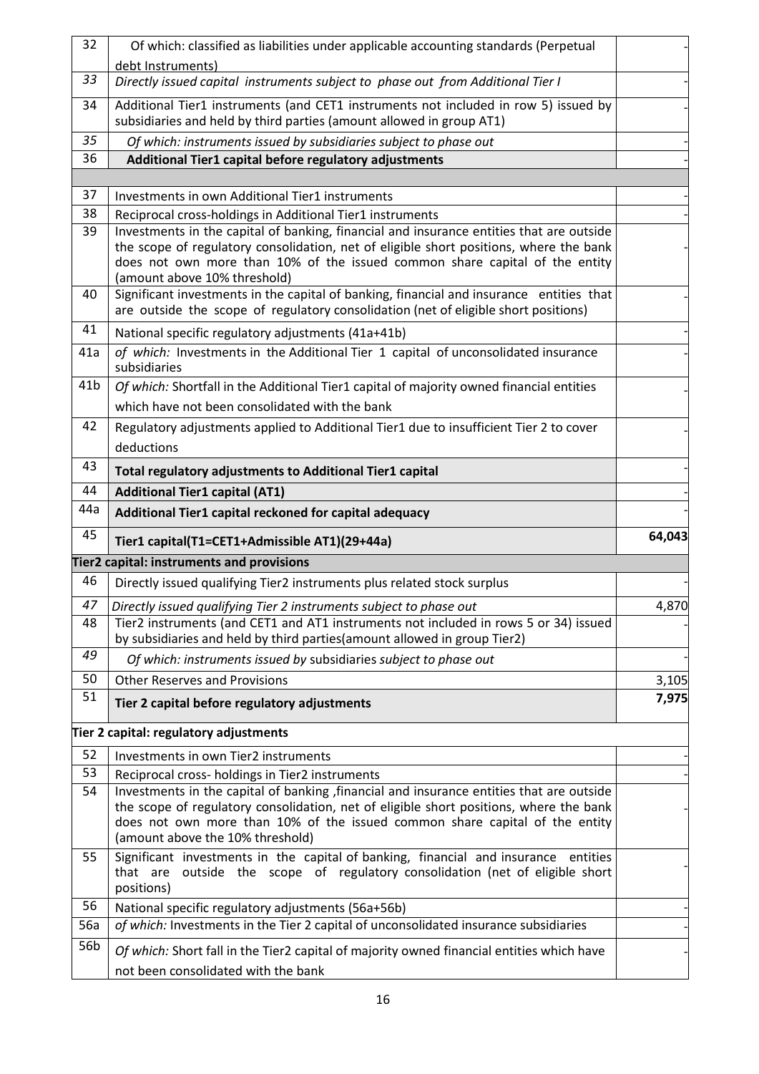| 32              | Of which: classified as liabilities under applicable accounting standards (Perpetual                                                                                                                                                                                                                  |        |
|-----------------|-------------------------------------------------------------------------------------------------------------------------------------------------------------------------------------------------------------------------------------------------------------------------------------------------------|--------|
| 33              | debt Instruments)<br>Directly issued capital instruments subject to phase out from Additional Tier I                                                                                                                                                                                                  |        |
|                 |                                                                                                                                                                                                                                                                                                       |        |
| 34              | Additional Tier1 instruments (and CET1 instruments not included in row 5) issued by<br>subsidiaries and held by third parties (amount allowed in group AT1)                                                                                                                                           |        |
| 35              | Of which: instruments issued by subsidiaries subject to phase out                                                                                                                                                                                                                                     |        |
| 36              | Additional Tier1 capital before regulatory adjustments                                                                                                                                                                                                                                                |        |
|                 |                                                                                                                                                                                                                                                                                                       |        |
| 37              | Investments in own Additional Tier1 instruments                                                                                                                                                                                                                                                       |        |
| 38              | Reciprocal cross-holdings in Additional Tier1 instruments                                                                                                                                                                                                                                             |        |
| 39              | Investments in the capital of banking, financial and insurance entities that are outside<br>the scope of regulatory consolidation, net of eligible short positions, where the bank<br>does not own more than 10% of the issued common share capital of the entity<br>(amount above 10% threshold)     |        |
| 40              | Significant investments in the capital of banking, financial and insurance entities that<br>are outside the scope of regulatory consolidation (net of eligible short positions)                                                                                                                       |        |
| 41              | National specific regulatory adjustments (41a+41b)                                                                                                                                                                                                                                                    |        |
| 41a             | of which: Investments in the Additional Tier 1 capital of unconsolidated insurance<br>subsidiaries                                                                                                                                                                                                    |        |
| 41 <sub>b</sub> | Of which: Shortfall in the Additional Tier1 capital of majority owned financial entities                                                                                                                                                                                                              |        |
|                 | which have not been consolidated with the bank                                                                                                                                                                                                                                                        |        |
| 42              | Regulatory adjustments applied to Additional Tier1 due to insufficient Tier 2 to cover                                                                                                                                                                                                                |        |
|                 | deductions                                                                                                                                                                                                                                                                                            |        |
| 43              | Total regulatory adjustments to Additional Tier1 capital                                                                                                                                                                                                                                              |        |
| 44              | <b>Additional Tier1 capital (AT1)</b>                                                                                                                                                                                                                                                                 |        |
| 44a             |                                                                                                                                                                                                                                                                                                       |        |
|                 |                                                                                                                                                                                                                                                                                                       |        |
| 45              | Additional Tier1 capital reckoned for capital adequacy<br>Tier1 capital(T1=CET1+Admissible AT1)(29+44a)                                                                                                                                                                                               | 64,043 |
|                 | Tier2 capital: instruments and provisions                                                                                                                                                                                                                                                             |        |
| 46              | Directly issued qualifying Tier2 instruments plus related stock surplus                                                                                                                                                                                                                               |        |
| 47              | Directly issued qualifying Tier 2 instruments subject to phase out                                                                                                                                                                                                                                    | 4,870  |
| 48              | Tier2 instruments (and CET1 and AT1 instruments not included in rows 5 or 34) issued<br>by subsidiaries and held by third parties (amount allowed in group Tier2)                                                                                                                                     |        |
| 49              | Of which: instruments issued by subsidiaries subject to phase out                                                                                                                                                                                                                                     |        |
| 50              | <b>Other Reserves and Provisions</b>                                                                                                                                                                                                                                                                  | 3,105  |
| 51              | Tier 2 capital before regulatory adjustments                                                                                                                                                                                                                                                          | 7,975  |
|                 | Tier 2 capital: regulatory adjustments                                                                                                                                                                                                                                                                |        |
| 52              | Investments in own Tier2 instruments                                                                                                                                                                                                                                                                  |        |
| 53              | Reciprocal cross- holdings in Tier2 instruments                                                                                                                                                                                                                                                       |        |
| 54              | Investments in the capital of banking, financial and insurance entities that are outside<br>the scope of regulatory consolidation, net of eligible short positions, where the bank<br>does not own more than 10% of the issued common share capital of the entity<br>(amount above the 10% threshold) |        |
| 55              | Significant investments in the capital of banking, financial and insurance entities<br>that are outside the scope of regulatory consolidation (net of eligible short<br>positions)                                                                                                                    |        |
| 56              | National specific regulatory adjustments (56a+56b)                                                                                                                                                                                                                                                    |        |
| 56a<br>56b      | of which: Investments in the Tier 2 capital of unconsolidated insurance subsidiaries                                                                                                                                                                                                                  |        |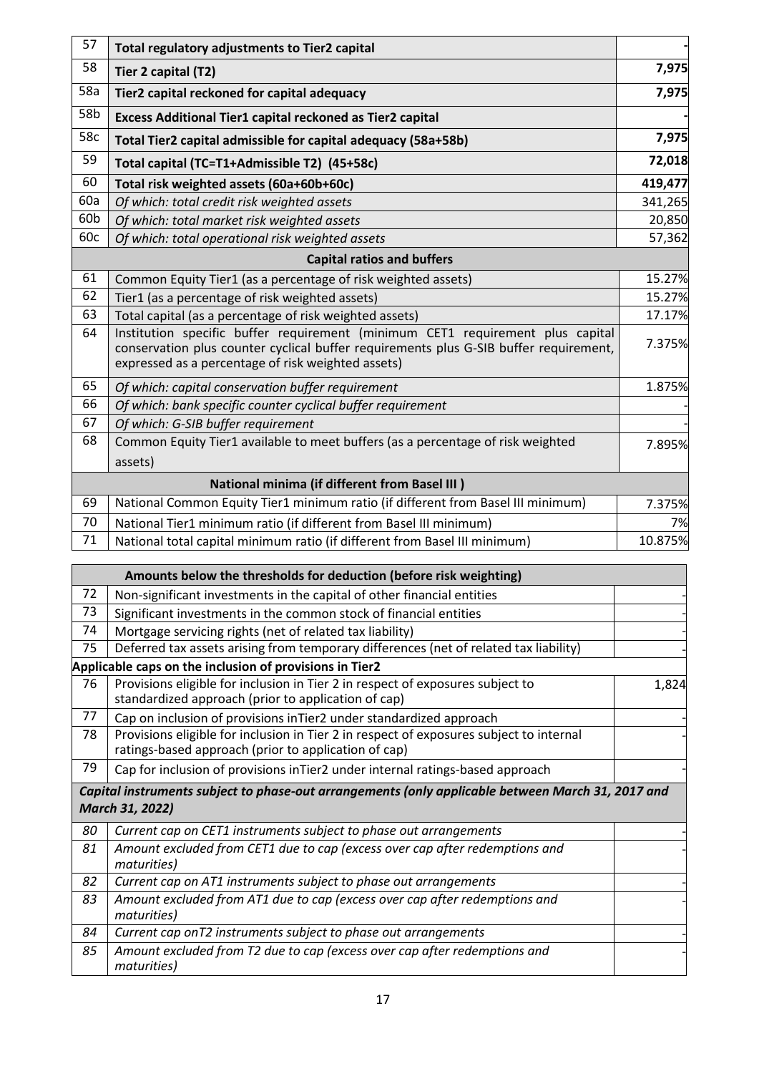| 57    | Total regulatory adjustments to Tier2 capital                                                                                                                                                                                 |         |
|-------|-------------------------------------------------------------------------------------------------------------------------------------------------------------------------------------------------------------------------------|---------|
| 58    | Tier 2 capital (T2)                                                                                                                                                                                                           | 7,975   |
| 58a   | Tier2 capital reckoned for capital adequacy                                                                                                                                                                                   | 7,975   |
| 58b   | Excess Additional Tier1 capital reckoned as Tier2 capital                                                                                                                                                                     |         |
| 58c   | Total Tier2 capital admissible for capital adequacy (58a+58b)                                                                                                                                                                 | 7,975   |
| 59    | Total capital (TC=T1+Admissible T2) (45+58c)                                                                                                                                                                                  | 72,018  |
| 60    | Total risk weighted assets (60a+60b+60c)                                                                                                                                                                                      | 419,477 |
| 60a   | Of which: total credit risk weighted assets                                                                                                                                                                                   | 341,265 |
| 60b   | Of which: total market risk weighted assets                                                                                                                                                                                   | 20,850  |
| 60c   | Of which: total operational risk weighted assets                                                                                                                                                                              | 57,362  |
|       | <b>Capital ratios and buffers</b>                                                                                                                                                                                             |         |
| 61    | Common Equity Tier1 (as a percentage of risk weighted assets)                                                                                                                                                                 | 15.27%  |
| 62    | Tier1 (as a percentage of risk weighted assets)                                                                                                                                                                               | 15.27%  |
| 63    | Total capital (as a percentage of risk weighted assets)                                                                                                                                                                       | 17.17%  |
| 64    | Institution specific buffer requirement (minimum CET1 requirement plus capital<br>conservation plus counter cyclical buffer requirements plus G-SIB buffer requirement,<br>expressed as a percentage of risk weighted assets) | 7.375%  |
| 65    | Of which: capital conservation buffer requirement                                                                                                                                                                             | 1.875%  |
| 66    | Of which: bank specific counter cyclical buffer requirement                                                                                                                                                                   |         |
| 67    | Of which: G-SIB buffer requirement                                                                                                                                                                                            |         |
| 68    | Common Equity Tier1 available to meet buffers (as a percentage of risk weighted                                                                                                                                               | 7.895%  |
|       | assets)                                                                                                                                                                                                                       |         |
|       | <b>National minima (if different from Basel III)</b>                                                                                                                                                                          |         |
| 69    | National Common Equity Tier1 minimum ratio (if different from Basel III minimum)                                                                                                                                              | 7.375%  |
| 70    | National Tier1 minimum ratio (if different from Basel III minimum)                                                                                                                                                            | 7%      |
| 71    | National total capital minimum ratio (if different from Basel III minimum)                                                                                                                                                    | 10.875% |
|       | Amounts below the thresholds for deduction (before risk weighting)                                                                                                                                                            |         |
| 72    | Non-significant investments in the capital of other financial entities                                                                                                                                                        |         |
| 73    | Significant investments in the common stock of financial entities                                                                                                                                                             |         |
| 74    | Mortgage servicing rights (net of related tax liability)                                                                                                                                                                      |         |
| 75    | Deferred tax assets arising from temporary differences (net of related tax liability)                                                                                                                                         |         |
|       | Applicable caps on the inclusion of provisions in Tier2                                                                                                                                                                       |         |
| 76    | Provisions eligible for inclusion in Tier 2 in respect of exposures subject to<br>standardized approach (prior to application of cap)                                                                                         | 1,824   |
| 77    | Cap on inclusion of provisions inTier2 under standardized approach                                                                                                                                                            |         |
| 78    | Provisions eligible for inclusion in Tier 2 in respect of exposures subject to internal<br>ratings-based approach (prior to application of cap)                                                                               |         |
| 79    | Cap for inclusion of provisions inTier2 under internal ratings-based approach                                                                                                                                                 |         |
|       | Capital instruments subject to phase-out arrangements (only applicable between March 31, 2017 and<br>March 31, 2022)                                                                                                          |         |
| 80    | Current cap on CET1 instruments subject to phase out arrangements                                                                                                                                                             |         |
| 81    | Amount excluded from CET1 due to cap (excess over cap after redemptions and<br>maturities)                                                                                                                                    |         |
| 82    | Current cap on AT1 instruments subject to phase out arrangements                                                                                                                                                              |         |
| 83    | Amount excluded from AT1 due to cap (excess over cap after redemptions and<br>maturities)                                                                                                                                     |         |
| $A^2$ | Current can on T2 instruments subject to phase out arrangements                                                                                                                                                               |         |

-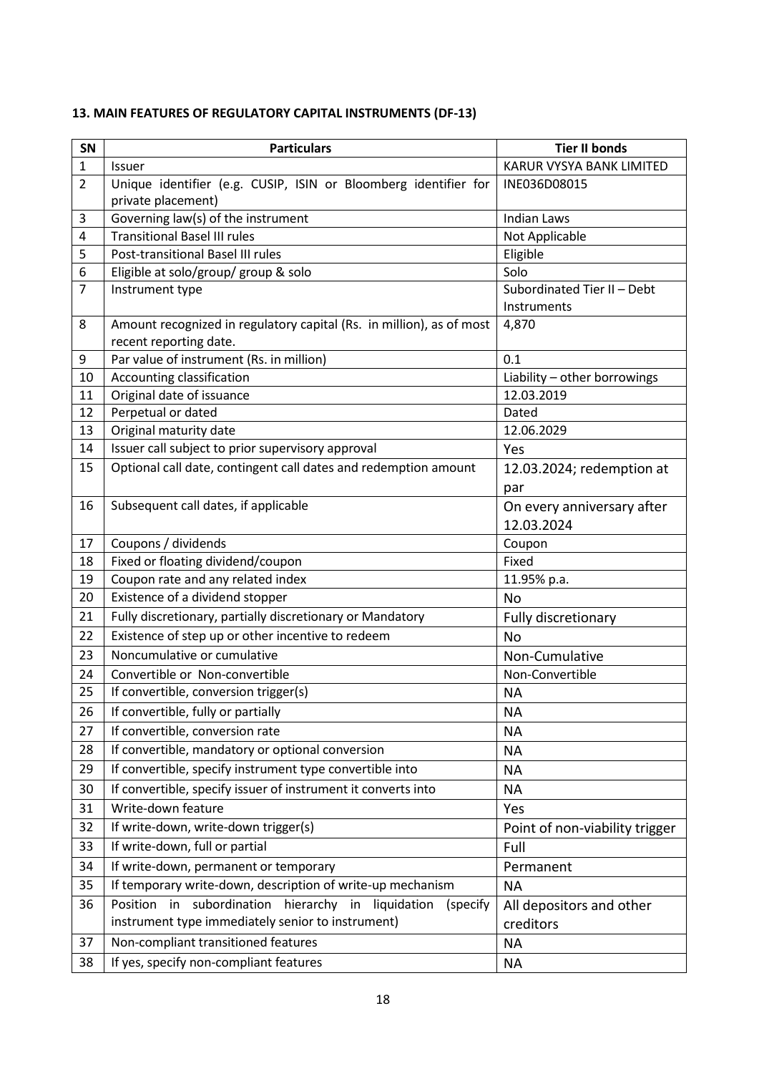| SN             | <b>Particulars</b>                                                   | <b>Tier II bonds</b>           |
|----------------|----------------------------------------------------------------------|--------------------------------|
| $\mathbf{1}$   | <b>Issuer</b>                                                        | KARUR VYSYA BANK LIMITED       |
| $\overline{2}$ | Unique identifier (e.g. CUSIP, ISIN or Bloomberg identifier for      | INE036D08015                   |
|                | private placement)                                                   |                                |
| 3              | Governing law(s) of the instrument                                   | <b>Indian Laws</b>             |
| 4              | <b>Transitional Basel III rules</b>                                  | Not Applicable                 |
| 5              | Post-transitional Basel III rules                                    | Eligible                       |
| 6              | Eligible at solo/group/ group & solo                                 | Solo                           |
| $\overline{7}$ | Instrument type                                                      | Subordinated Tier II - Debt    |
|                |                                                                      | Instruments                    |
| 8              | Amount recognized in regulatory capital (Rs. in million), as of most | 4,870                          |
|                | recent reporting date.<br>Par value of instrument (Rs. in million)   | 0.1                            |
| 9<br>10        | Accounting classification                                            | Liability - other borrowings   |
| 11             | Original date of issuance                                            | 12.03.2019                     |
| 12             | Perpetual or dated                                                   | Dated                          |
| 13             | Original maturity date                                               | 12.06.2029                     |
| 14             | Issuer call subject to prior supervisory approval                    | Yes                            |
| 15             | Optional call date, contingent call dates and redemption amount      | 12.03.2024; redemption at      |
|                |                                                                      | par                            |
| 16             | Subsequent call dates, if applicable                                 | On every anniversary after     |
|                |                                                                      | 12.03.2024                     |
| 17             | Coupons / dividends                                                  |                                |
| 18             | Fixed or floating dividend/coupon                                    | Coupon<br>Fixed                |
| 19             | Coupon rate and any related index                                    | 11.95% p.a.                    |
| 20             | Existence of a dividend stopper                                      | No                             |
| 21             | Fully discretionary, partially discretionary or Mandatory            | Fully discretionary            |
| 22             | Existence of step up or other incentive to redeem                    | No                             |
| 23             | Noncumulative or cumulative                                          | Non-Cumulative                 |
| 24             | Convertible or Non-convertible                                       | Non-Convertible                |
| 25             | If convertible, conversion trigger(s)                                | <b>NA</b>                      |
| 26             | If convertible, fully or partially                                   | NА                             |
| 27             | If convertible, conversion rate                                      | <b>NA</b>                      |
| 28             | If convertible, mandatory or optional conversion                     |                                |
|                |                                                                      | <b>NA</b>                      |
| 29             | If convertible, specify instrument type convertible into             | <b>NA</b>                      |
| 30             | If convertible, specify issuer of instrument it converts into        | <b>NA</b>                      |
| 31             | Write-down feature                                                   | Yes                            |
| 32             | If write-down, write-down trigger(s)                                 | Point of non-viability trigger |
| 33             | If write-down, full or partial                                       | Full                           |
| 34             | If write-down, permanent or temporary                                | Permanent                      |
| 35             | If temporary write-down, description of write-up mechanism           | <b>NA</b>                      |
| 36             | subordination<br>hierarchy in liquidation<br>Position in<br>(specify | All depositors and other       |
|                | instrument type immediately senior to instrument)                    | creditors                      |
| 37             | Non-compliant transitioned features                                  | <b>NA</b>                      |
| 38             | If yes, specify non-compliant features                               | <b>NA</b>                      |

# **13. MAIN FEATURES OF REGULATORY CAPITAL INSTRUMENTS (DF-13)**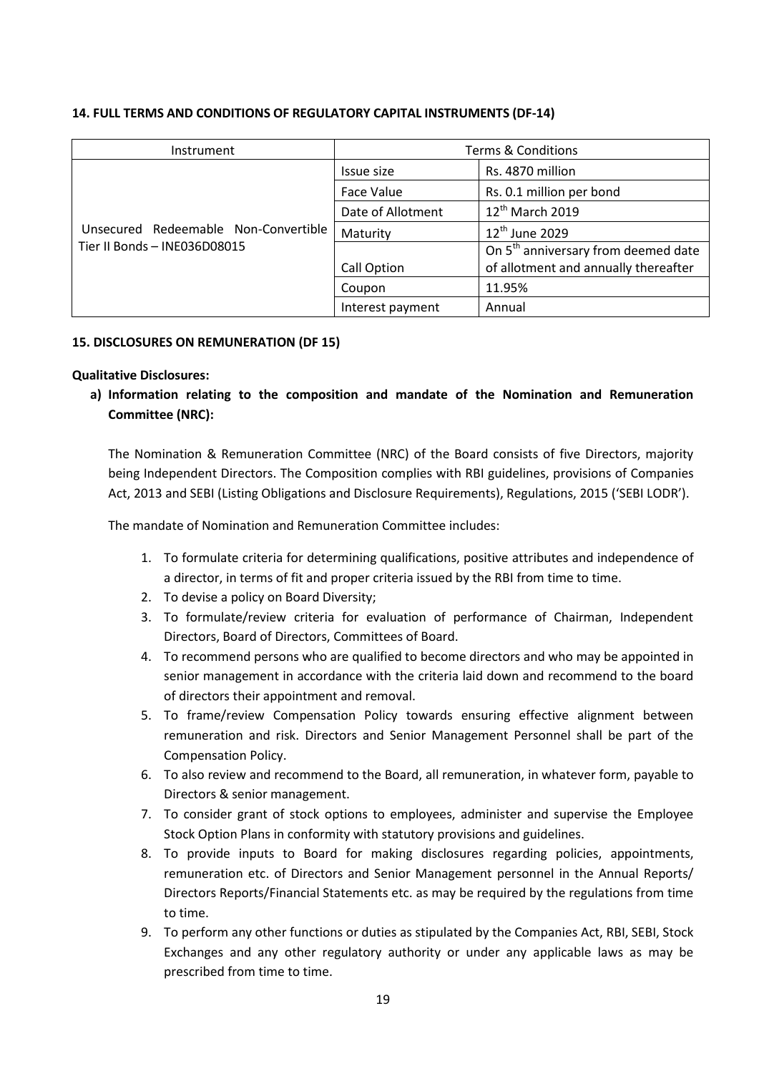| Instrument                           | <b>Terms &amp; Conditions</b> |                                                 |
|--------------------------------------|-------------------------------|-------------------------------------------------|
|                                      | Issue size                    | Rs. 4870 million                                |
|                                      | Face Value                    | Rs. 0.1 million per bond                        |
|                                      | Date of Allotment             | 12 <sup>th</sup> March 2019                     |
| Unsecured Redeemable Non-Convertible | Maturity                      | $12^{\text{th}}$ June 2029                      |
| Tier II Bonds - INE036D08015         |                               | On 5 <sup>th</sup> anniversary from deemed date |
|                                      | Call Option                   | of allotment and annually thereafter            |
|                                      | Coupon                        | 11.95%                                          |
|                                      | Interest payment              | Annual                                          |

### **14. FULL TERMS AND CONDITIONS OF REGULATORY CAPITAL INSTRUMENTS (DF-14)**

### **15. DISCLOSURES ON REMUNERATION (DF 15)**

### **Qualitative Disclosures:**

**a) Information relating to the composition and mandate of the Nomination and Remuneration Committee (NRC):**

The Nomination & Remuneration Committee (NRC) of the Board consists of five Directors, majority being Independent Directors. The Composition complies with RBI guidelines, provisions of Companies Act, 2013 and SEBI (Listing Obligations and Disclosure Requirements), Regulations, 2015 ('SEBI LODR').

The mandate of Nomination and Remuneration Committee includes:

- 1. To formulate criteria for determining qualifications, positive attributes and independence of a director, in terms of fit and proper criteria issued by the RBI from time to time.
- 2. To devise a policy on Board Diversity;
- 3. To formulate/review criteria for evaluation of performance of Chairman, Independent Directors, Board of Directors, Committees of Board.
- 4. To recommend persons who are qualified to become directors and who may be appointed in senior management in accordance with the criteria laid down and recommend to the board of directors their appointment and removal.
- 5. To frame/review Compensation Policy towards ensuring effective alignment between remuneration and risk. Directors and Senior Management Personnel shall be part of the Compensation Policy.
- 6. To also review and recommend to the Board, all remuneration, in whatever form, payable to Directors & senior management.
- 7. To consider grant of stock options to employees, administer and supervise the Employee Stock Option Plans in conformity with statutory provisions and guidelines.
- 8. To provide inputs to Board for making disclosures regarding policies, appointments, remuneration etc. of Directors and Senior Management personnel in the Annual Reports/ Directors Reports/Financial Statements etc. as may be required by the regulations from time to time.
- 9. To perform any other functions or duties as stipulated by the Companies Act, RBI, SEBI, Stock Exchanges and any other regulatory authority or under any applicable laws as may be prescribed from time to time.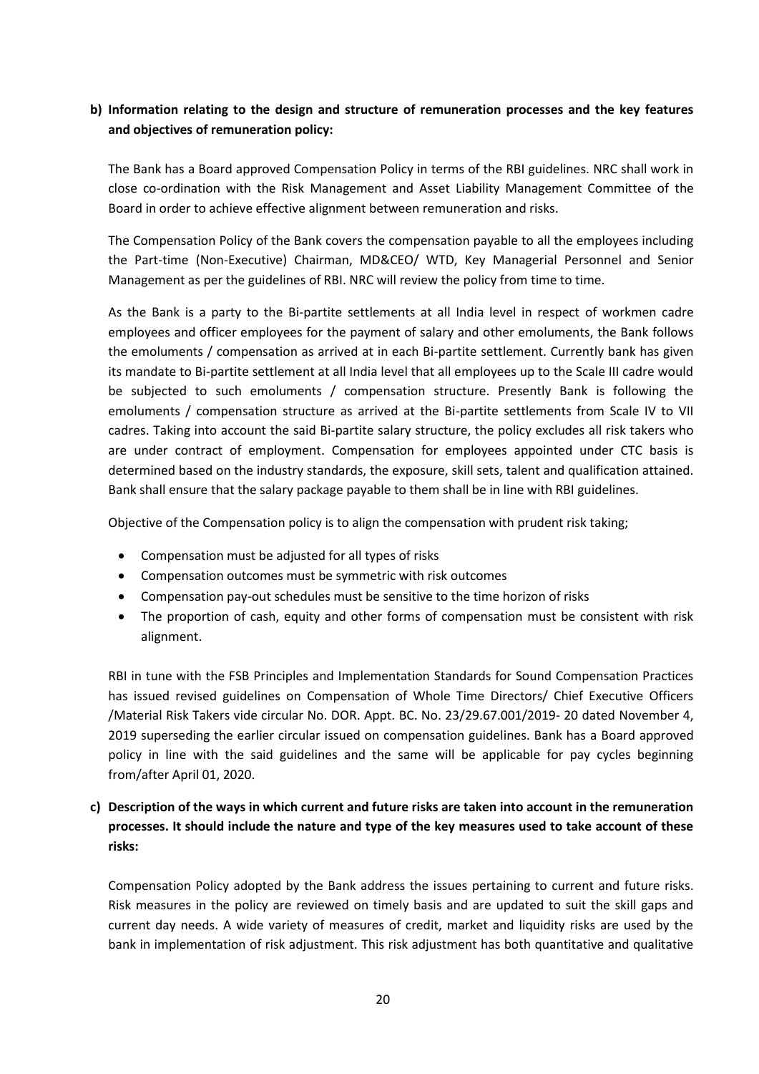# **b) Information relating to the design and structure of remuneration processes and the key features and objectives of remuneration policy:**

The Bank has a Board approved Compensation Policy in terms of the RBI guidelines. NRC shall work in close co-ordination with the Risk Management and Asset Liability Management Committee of the Board in order to achieve effective alignment between remuneration and risks.

The Compensation Policy of the Bank covers the compensation payable to all the employees including the Part-time (Non-Executive) Chairman, MD&CEO/ WTD, Key Managerial Personnel and Senior Management as per the guidelines of RBI. NRC will review the policy from time to time.

As the Bank is a party to the Bi-partite settlements at all India level in respect of workmen cadre employees and officer employees for the payment of salary and other emoluments, the Bank follows the emoluments / compensation as arrived at in each Bi-partite settlement. Currently bank has given its mandate to Bi-partite settlement at all India level that all employees up to the Scale III cadre would be subjected to such emoluments / compensation structure. Presently Bank is following the emoluments / compensation structure as arrived at the Bi-partite settlements from Scale IV to VII cadres. Taking into account the said Bi-partite salary structure, the policy excludes all risk takers who are under contract of employment. Compensation for employees appointed under CTC basis is determined based on the industry standards, the exposure, skill sets, talent and qualification attained. Bank shall ensure that the salary package payable to them shall be in line with RBI guidelines.

Objective of the Compensation policy is to align the compensation with prudent risk taking;

- Compensation must be adjusted for all types of risks
- Compensation outcomes must be symmetric with risk outcomes
- Compensation pay-out schedules must be sensitive to the time horizon of risks
- The proportion of cash, equity and other forms of compensation must be consistent with risk alignment.

RBI in tune with the FSB Principles and Implementation Standards for Sound Compensation Practices has issued revised guidelines on Compensation of Whole Time Directors/ Chief Executive Officers /Material Risk Takers vide circular No. DOR. Appt. BC. No. 23/29.67.001/2019- 20 dated November 4, 2019 superseding the earlier circular issued on compensation guidelines. Bank has a Board approved policy in line with the said guidelines and the same will be applicable for pay cycles beginning from/after April 01, 2020.

# **c) Description of the ways in which current and future risks are taken into account in the remuneration processes. It should include the nature and type of the key measures used to take account of these risks:**

Compensation Policy adopted by the Bank address the issues pertaining to current and future risks. Risk measures in the policy are reviewed on timely basis and are updated to suit the skill gaps and current day needs. A wide variety of measures of credit, market and liquidity risks are used by the bank in implementation of risk adjustment. This risk adjustment has both quantitative and qualitative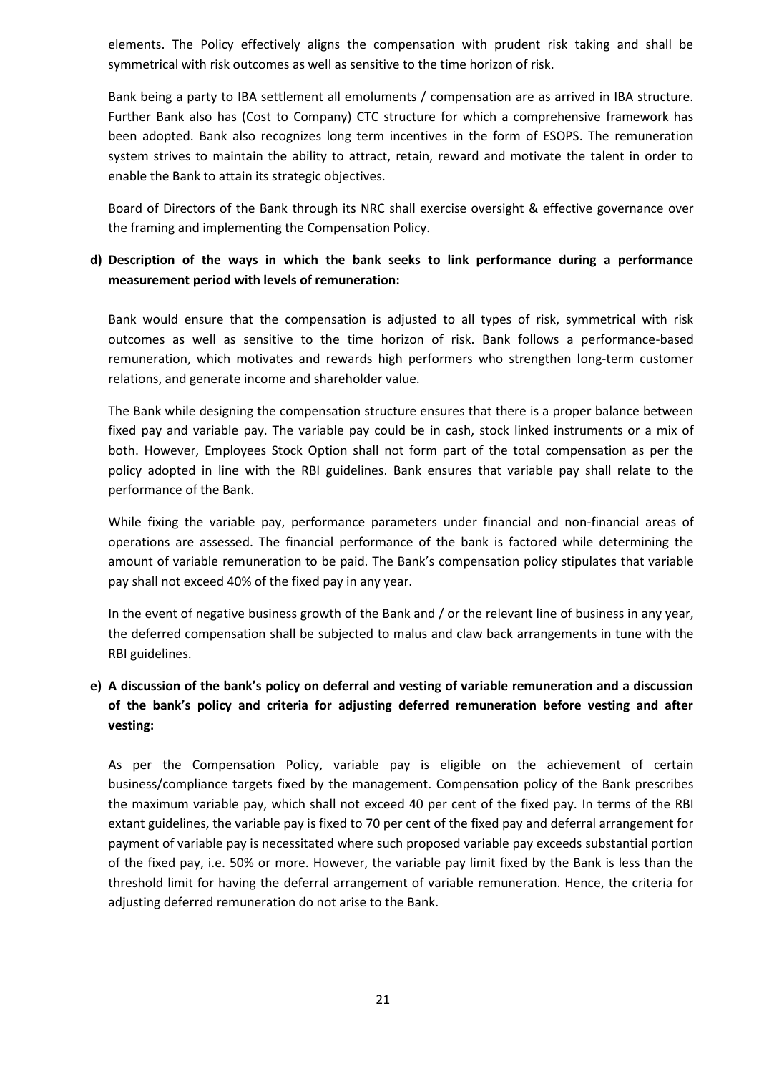elements. The Policy effectively aligns the compensation with prudent risk taking and shall be symmetrical with risk outcomes as well as sensitive to the time horizon of risk.

Bank being a party to IBA settlement all emoluments / compensation are as arrived in IBA structure. Further Bank also has (Cost to Company) CTC structure for which a comprehensive framework has been adopted. Bank also recognizes long term incentives in the form of ESOPS. The remuneration system strives to maintain the ability to attract, retain, reward and motivate the talent in order to enable the Bank to attain its strategic objectives.

Board of Directors of the Bank through its NRC shall exercise oversight & effective governance over the framing and implementing the Compensation Policy.

# **d) Description of the ways in which the bank seeks to link performance during a performance measurement period with levels of remuneration:**

Bank would ensure that the compensation is adjusted to all types of risk, symmetrical with risk outcomes as well as sensitive to the time horizon of risk. Bank follows a performance-based remuneration, which motivates and rewards high performers who strengthen long-term customer relations, and generate income and shareholder value.

The Bank while designing the compensation structure ensures that there is a proper balance between fixed pay and variable pay. The variable pay could be in cash, stock linked instruments or a mix of both. However, Employees Stock Option shall not form part of the total compensation as per the policy adopted in line with the RBI guidelines. Bank ensures that variable pay shall relate to the performance of the Bank.

While fixing the variable pay, performance parameters under financial and non-financial areas of operations are assessed. The financial performance of the bank is factored while determining the amount of variable remuneration to be paid. The Bank's compensation policy stipulates that variable pay shall not exceed 40% of the fixed pay in any year.

In the event of negative business growth of the Bank and / or the relevant line of business in any year, the deferred compensation shall be subjected to malus and claw back arrangements in tune with the RBI guidelines.

# **e) A discussion of the bank's policy on deferral and vesting of variable remuneration and a discussion of the bank's policy and criteria for adjusting deferred remuneration before vesting and after vesting:**

As per the Compensation Policy, variable pay is eligible on the achievement of certain business/compliance targets fixed by the management. Compensation policy of the Bank prescribes the maximum variable pay, which shall not exceed 40 per cent of the fixed pay. In terms of the RBI extant guidelines, the variable pay is fixed to 70 per cent of the fixed pay and deferral arrangement for payment of variable pay is necessitated where such proposed variable pay exceeds substantial portion of the fixed pay, i.e. 50% or more. However, the variable pay limit fixed by the Bank is less than the threshold limit for having the deferral arrangement of variable remuneration. Hence, the criteria for adjusting deferred remuneration do not arise to the Bank.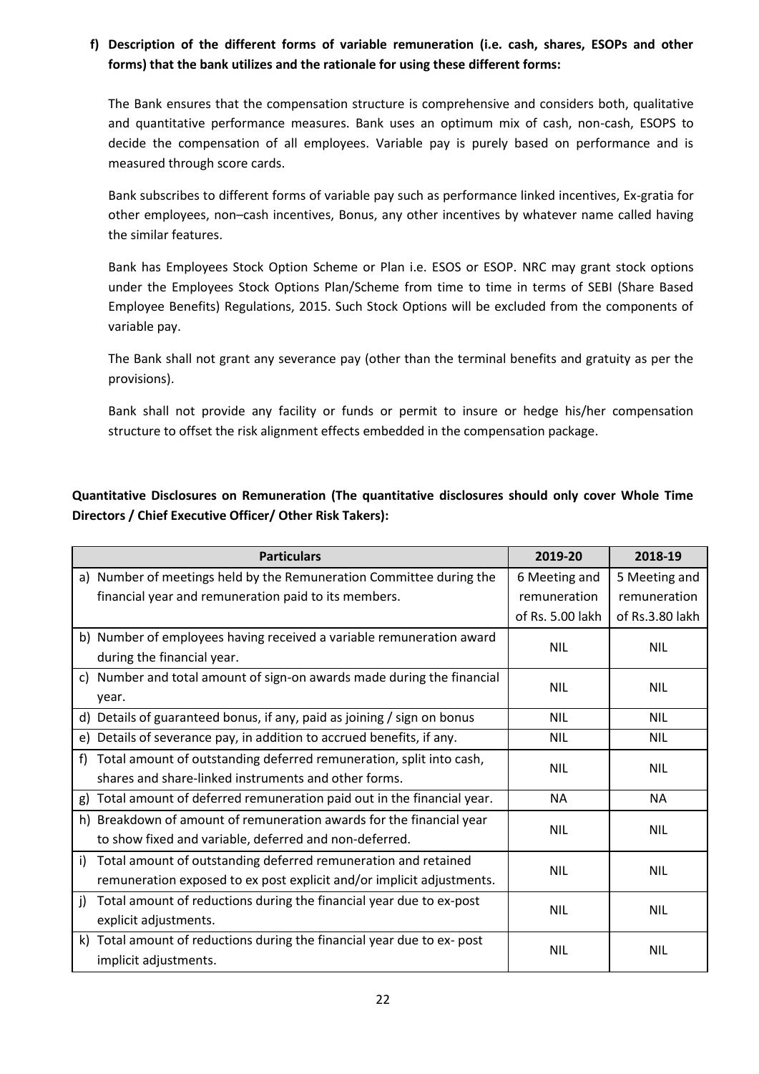# **f) Description of the different forms of variable remuneration (i.e. cash, shares, ESOPs and other forms) that the bank utilizes and the rationale for using these different forms:**

The Bank ensures that the compensation structure is comprehensive and considers both, qualitative and quantitative performance measures. Bank uses an optimum mix of cash, non-cash, ESOPS to decide the compensation of all employees. Variable pay is purely based on performance and is measured through score cards.

Bank subscribes to different forms of variable pay such as performance linked incentives, Ex-gratia for other employees, non–cash incentives, Bonus, any other incentives by whatever name called having the similar features.

Bank has Employees Stock Option Scheme or Plan i.e. ESOS or ESOP. NRC may grant stock options under the Employees Stock Options Plan/Scheme from time to time in terms of SEBI (Share Based Employee Benefits) Regulations, 2015. Such Stock Options will be excluded from the components of variable pay.

The Bank shall not grant any severance pay (other than the terminal benefits and gratuity as per the provisions).

Bank shall not provide any facility or funds or permit to insure or hedge his/her compensation structure to offset the risk alignment effects embedded in the compensation package.

**Quantitative Disclosures on Remuneration (The quantitative disclosures should only cover Whole Time Directors / Chief Executive Officer/ Other Risk Takers):**

|    | <b>Particulars</b>                                                      | 2019-20                 | 2018-19         |
|----|-------------------------------------------------------------------------|-------------------------|-----------------|
|    | a) Number of meetings held by the Remuneration Committee during the     | 6 Meeting and           | 5 Meeting and   |
|    | financial year and remuneration paid to its members.                    | remuneration            | remuneration    |
|    |                                                                         | of Rs. 5.00 lakh        | of Rs.3.80 lakh |
|    | b) Number of employees having received a variable remuneration award    | <b>NIL</b>              | <b>NIL</b>      |
|    | during the financial year.                                              |                         |                 |
|    | c) Number and total amount of sign-on awards made during the financial  | <b>NIL</b>              | <b>NIL</b>      |
|    | year.                                                                   |                         |                 |
|    | d) Details of guaranteed bonus, if any, paid as joining / sign on bonus | <b>NIL</b>              | <b>NIL</b>      |
| e) | Details of severance pay, in addition to accrued benefits, if any.      | <b>NIL</b>              | <b>NIL</b>      |
| f) | Total amount of outstanding deferred remuneration, split into cash,     | <b>NIL</b><br><b>NA</b> | <b>NIL</b>      |
|    | shares and share-linked instruments and other forms.                    |                         |                 |
| g) | Total amount of deferred remuneration paid out in the financial year.   |                         | <b>NA</b>       |
| h) | Breakdown of amount of remuneration awards for the financial year       | <b>NIL</b>              | <b>NIL</b>      |
|    | to show fixed and variable, deferred and non-deferred.                  |                         |                 |
| i) | Total amount of outstanding deferred remuneration and retained          | <b>NIL</b>              | <b>NIL</b>      |
|    | remuneration exposed to ex post explicit and/or implicit adjustments.   |                         |                 |
| i) | Total amount of reductions during the financial year due to ex-post     | NIL                     | <b>NIL</b>      |
|    | explicit adjustments.                                                   |                         |                 |
|    | k) Total amount of reductions during the financial year due to ex- post | <b>NIL</b>              | <b>NIL</b>      |
|    | implicit adjustments.                                                   |                         |                 |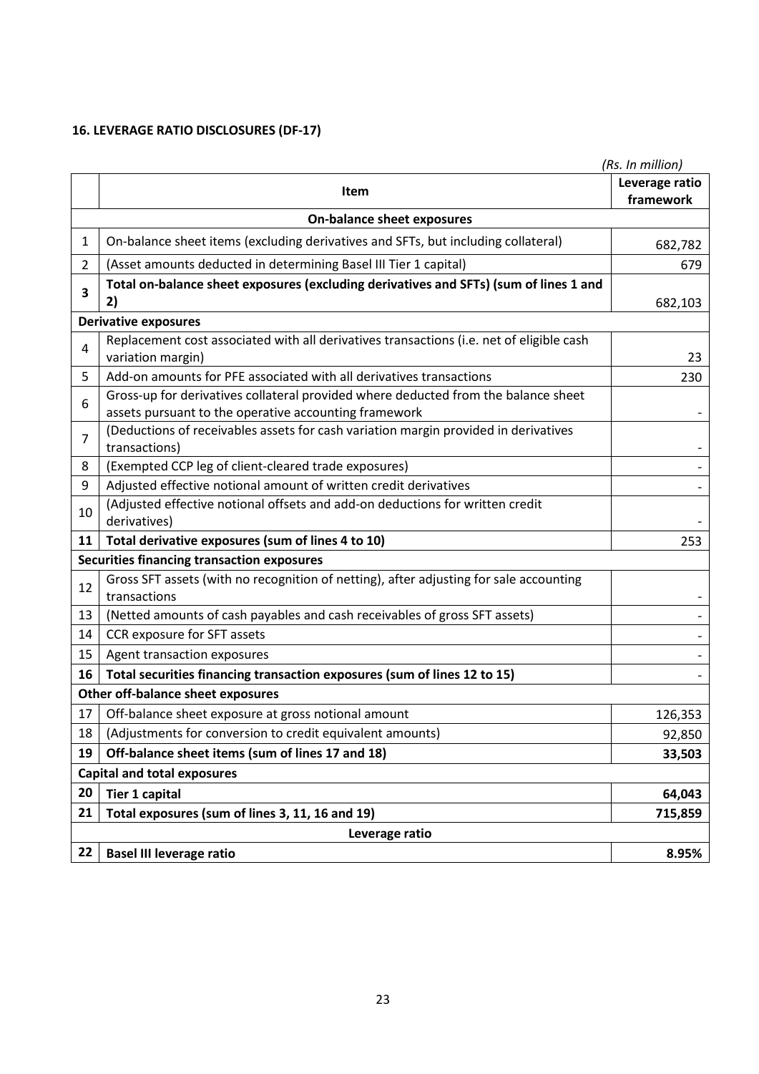# **16. LEVERAGE RATIO DISCLOSURES (DF-17)**

|                | (Rs. In million)                                                                                                                            |                             |  |  |  |
|----------------|---------------------------------------------------------------------------------------------------------------------------------------------|-----------------------------|--|--|--|
|                | Item                                                                                                                                        | Leverage ratio<br>framework |  |  |  |
|                | <b>On-balance sheet exposures</b>                                                                                                           |                             |  |  |  |
| $\mathbf{1}$   | On-balance sheet items (excluding derivatives and SFTs, but including collateral)                                                           | 682,782                     |  |  |  |
| $\overline{2}$ | (Asset amounts deducted in determining Basel III Tier 1 capital)                                                                            | 679                         |  |  |  |
| 3              | Total on-balance sheet exposures (excluding derivatives and SFTs) (sum of lines 1 and<br>2)                                                 | 682,103                     |  |  |  |
|                | <b>Derivative exposures</b>                                                                                                                 |                             |  |  |  |
| 4              | Replacement cost associated with all derivatives transactions (i.e. net of eligible cash<br>variation margin)                               | 23                          |  |  |  |
| 5              | Add-on amounts for PFE associated with all derivatives transactions                                                                         | 230                         |  |  |  |
| 6              | Gross-up for derivatives collateral provided where deducted from the balance sheet<br>assets pursuant to the operative accounting framework |                             |  |  |  |
| $\overline{7}$ | (Deductions of receivables assets for cash variation margin provided in derivatives<br>transactions)                                        |                             |  |  |  |
| 8              | (Exempted CCP leg of client-cleared trade exposures)                                                                                        |                             |  |  |  |
| 9              | Adjusted effective notional amount of written credit derivatives                                                                            |                             |  |  |  |
| 10             | (Adjusted effective notional offsets and add-on deductions for written credit<br>derivatives)                                               |                             |  |  |  |
| 11             | Total derivative exposures (sum of lines 4 to 10)                                                                                           | 253                         |  |  |  |
|                | <b>Securities financing transaction exposures</b>                                                                                           |                             |  |  |  |
| 12             | Gross SFT assets (with no recognition of netting), after adjusting for sale accounting<br>transactions                                      |                             |  |  |  |
| 13             | (Netted amounts of cash payables and cash receivables of gross SFT assets)                                                                  |                             |  |  |  |
| 14             | CCR exposure for SFT assets                                                                                                                 |                             |  |  |  |
| 15             | Agent transaction exposures                                                                                                                 |                             |  |  |  |
| 16             | Total securities financing transaction exposures (sum of lines 12 to 15)                                                                    |                             |  |  |  |
|                | Other off-balance sheet exposures                                                                                                           |                             |  |  |  |
| 17             | Off-balance sheet exposure at gross notional amount                                                                                         | 126,353                     |  |  |  |
| 18             | (Adjustments for conversion to credit equivalent amounts)                                                                                   | 92,850                      |  |  |  |
| 19             | Off-balance sheet items (sum of lines 17 and 18)                                                                                            | 33,503                      |  |  |  |
|                | <b>Capital and total exposures</b>                                                                                                          |                             |  |  |  |
| 20             | <b>Tier 1 capital</b>                                                                                                                       | 64,043                      |  |  |  |
| 21             | Total exposures (sum of lines 3, 11, 16 and 19)                                                                                             | 715,859                     |  |  |  |
| Leverage ratio |                                                                                                                                             |                             |  |  |  |
| 22             | <b>Basel III leverage ratio</b>                                                                                                             | 8.95%                       |  |  |  |